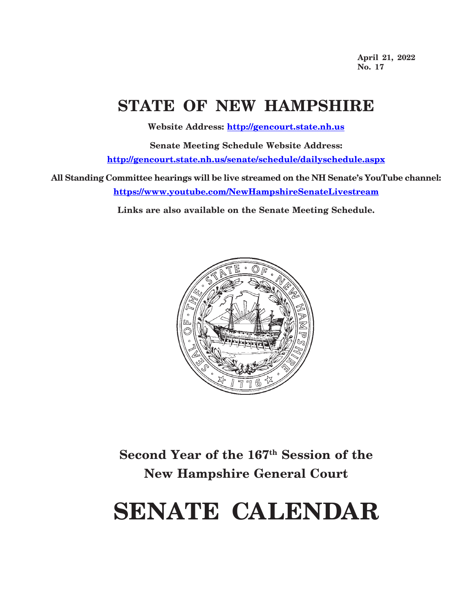**April 21, 2022 No. 17**

## **STATE OF NEW HAMPSHIRE**

**Website Address: http://gencourt.state.nh.us**

**Senate Meeting Schedule Website Address: http://gencourt.state.nh.us/senate/schedule/dailyschedule.aspx**

**All Standing Committee hearings will be live streamed on the NH Senate's YouTube channel: https://www.youtube.com/NewHampshireSenateLivestream**

**Links are also available on the Senate Meeting Schedule.**



**Second Year of the 167th Session of the New Hampshire General Court**

# **SENATE CALENDAR**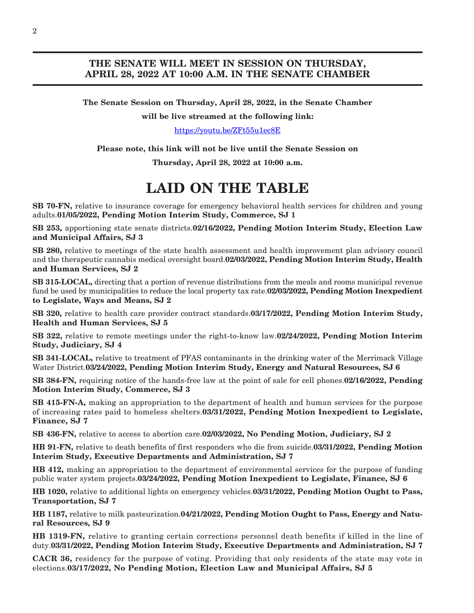## **THE SENATE WILL MEET IN SESSION ON THURSDAY, APRIL 28, 2022 AT 10:00 A.M. IN THE SENATE CHAMBER**

**The Senate Session on Thursday, April 28, 2022, in the Senate Chamber**

**will be live streamed at the following link:**

<https://youtu.be/ZFt55u1ec8E>

**Please note, this link will not be live until the Senate Session on**

**Thursday, April 28, 2022 at 10:00 a.m.**

## **LAID ON THE TABLE**

**SB 70-FN,** relative to insurance coverage for emergency behavioral health services for children and young adults.**01/05/2022, Pending Motion Interim Study, Commerce, SJ 1**

**SB 253,** apportioning state senate districts.**02/16/2022, Pending Motion Interim Study, Election Law and Municipal Affairs, SJ 3**

**SB 280,** relative to meetings of the state health assessment and health improvement plan advisory council and the therapeutic cannabis medical oversight board.**02/03/2022, Pending Motion Interim Study, Health and Human Services, SJ 2**

**SB 315-LOCAL,** directing that a portion of revenue distributions from the meals and rooms municipal revenue fund be used by municipalities to reduce the local property tax rate.**02/03/2022, Pending Motion Inexpedient to Legislate, Ways and Means, SJ 2**

**SB 320,** relative to health care provider contract standards.**03/17/2022, Pending Motion Interim Study, Health and Human Services, SJ 5**

**SB 322,** relative to remote meetings under the right-to-know law.**02/24/2022, Pending Motion Interim Study, Judiciary, SJ 4**

**SB 341-LOCAL,** relative to treatment of PFAS contaminants in the drinking water of the Merrimack Village Water District.**03/24/2022, Pending Motion Interim Study, Energy and Natural Resources, SJ 6**

**SB 384-FN,** requiring notice of the hands-free law at the point of sale for cell phones.**02/16/2022, Pending Motion Interim Study, Commerce, SJ 3**

**SB 415-FN-A,** making an appropriation to the department of health and human services for the purpose of increasing rates paid to homeless shelters.**03/31/2022, Pending Motion Inexpedient to Legislate, Finance, SJ 7**

**SB 436-FN,** relative to access to abortion care.**02/03/2022, No Pending Motion, Judiciary, SJ 2**

**HB 91-FN,** relative to death benefits of first responders who die from suicide.**03/31/2022, Pending Motion Interim Study, Executive Departments and Administration, SJ 7**

**HB 412,** making an appropriation to the department of environmental services for the purpose of funding public water system projects.**03/24/2022, Pending Motion Inexpedient to Legislate, Finance, SJ 6**

**HB 1020,** relative to additional lights on emergency vehicles.**03/31/2022, Pending Motion Ought to Pass, Transportation, SJ 7**

**HB 1187,** relative to milk pasteurization.**04/21/2022, Pending Motion Ought to Pass, Energy and Natural Resources, SJ 9**

**HB 1319-FN,** relative to granting certain corrections personnel death benefits if killed in the line of duty.**03/31/2022, Pending Motion Interim Study, Executive Departments and Administration, SJ 7**

**CACR 36,** residency for the purpose of voting. Providing that only residents of the state may vote in elections.**03/17/2022, No Pending Motion, Election Law and Municipal Affairs, SJ 5**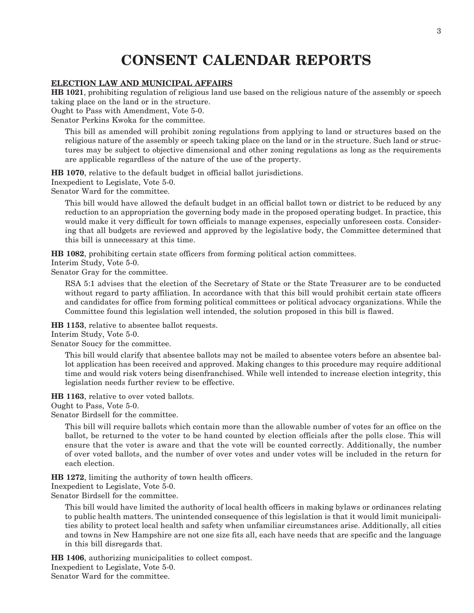## **CONSENT CALENDAR REPORTS**

#### **ELECTION LAW AND MUNICIPAL AFFAIRS**

**HB 1021**, prohibiting regulation of religious land use based on the religious nature of the assembly or speech taking place on the land or in the structure.

Ought to Pass with Amendment, Vote 5-0.

Senator Perkins Kwoka for the committee.

This bill as amended will prohibit zoning regulations from applying to land or structures based on the religious nature of the assembly or speech taking place on the land or in the structure. Such land or structures may be subject to objective dimensional and other zoning regulations as long as the requirements are applicable regardless of the nature of the use of the property.

**HB 1070**, relative to the default budget in official ballot jurisdictions.

Inexpedient to Legislate, Vote 5-0.

Senator Ward for the committee.

This bill would have allowed the default budget in an official ballot town or district to be reduced by any reduction to an appropriation the governing body made in the proposed operating budget. In practice, this would make it very difficult for town officials to manage expenses, especially unforeseen costs. Considering that all budgets are reviewed and approved by the legislative body, the Committee determined that this bill is unnecessary at this time.

**HB 1082**, prohibiting certain state officers from forming political action committees.

Interim Study, Vote 5-0.

Senator Gray for the committee.

RSA 5:1 advises that the election of the Secretary of State or the State Treasurer are to be conducted without regard to party affiliation. In accordance with that this bill would prohibit certain state officers and candidates for office from forming political committees or political advocacy organizations. While the Committee found this legislation well intended, the solution proposed in this bill is flawed.

**HB 1153**, relative to absentee ballot requests.

Interim Study, Vote 5-0.

Senator Soucy for the committee.

This bill would clarify that absentee ballots may not be mailed to absentee voters before an absentee ballot application has been received and approved. Making changes to this procedure may require additional time and would risk voters being disenfranchised. While well intended to increase election integrity, this legislation needs further review to be effective.

**HB 1163**, relative to over voted ballots.

Ought to Pass, Vote 5-0.

Senator Birdsell for the committee.

This bill will require ballots which contain more than the allowable number of votes for an office on the ballot, be returned to the voter to be hand counted by election officials after the polls close. This will ensure that the voter is aware and that the vote will be counted correctly. Additionally, the number of over voted ballots, and the number of over votes and under votes will be included in the return for each election.

**HB 1272**, limiting the authority of town health officers.

Inexpedient to Legislate, Vote 5-0.

Senator Birdsell for the committee.

This bill would have limited the authority of local health officers in making bylaws or ordinances relating to public health matters. The unintended consequence of this legislation is that it would limit municipalities ability to protect local health and safety when unfamiliar circumstances arise. Additionally, all cities and towns in New Hampshire are not one size fits all, each have needs that are specific and the language in this bill disregards that.

**HB 1406**, authorizing municipalities to collect compost. Inexpedient to Legislate, Vote 5-0. Senator Ward for the committee.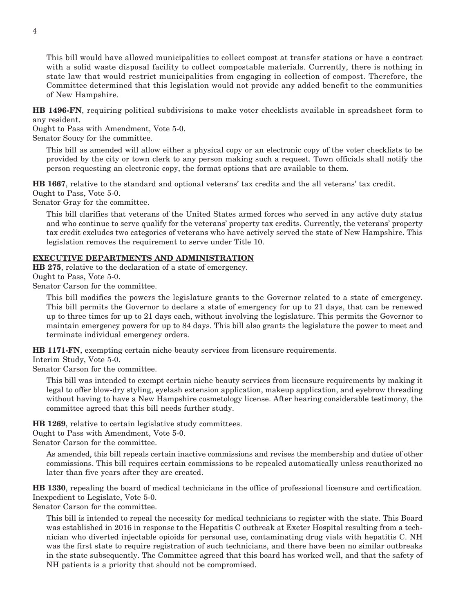This bill would have allowed municipalities to collect compost at transfer stations or have a contract with a solid waste disposal facility to collect compostable materials. Currently, there is nothing in state law that would restrict municipalities from engaging in collection of compost. Therefore, the Committee determined that this legislation would not provide any added benefit to the communities of New Hampshire.

**HB 1496-FN**, requiring political subdivisions to make voter checklists available in spreadsheet form to any resident.

Ought to Pass with Amendment, Vote 5-0.

Senator Soucy for the committee.

This bill as amended will allow either a physical copy or an electronic copy of the voter checklists to be provided by the city or town clerk to any person making such a request. Town officials shall notify the person requesting an electronic copy, the format options that are available to them.

**HB 1667**, relative to the standard and optional veterans' tax credits and the all veterans' tax credit. Ought to Pass, Vote 5-0.

Senator Gray for the committee.

This bill clarifies that veterans of the United States armed forces who served in any active duty status and who continue to serve qualify for the veterans' property tax credits. Currently, the veterans' property tax credit excludes two categories of veterans who have actively served the state of New Hampshire. This legislation removes the requirement to serve under Title 10.

## **EXECUTIVE DEPARTMENTS AND ADMINISTRATION**

**HB 275**, relative to the declaration of a state of emergency. Ought to Pass, Vote 5-0.

Senator Carson for the committee.

This bill modifies the powers the legislature grants to the Governor related to a state of emergency. This bill permits the Governor to declare a state of emergency for up to 21 days, that can be renewed up to three times for up to 21 days each, without involving the legislature. This permits the Governor to maintain emergency powers for up to 84 days. This bill also grants the legislature the power to meet and terminate individual emergency orders.

**HB 1171-FN**, exempting certain niche beauty services from licensure requirements.

Interim Study, Vote 5-0.

Senator Carson for the committee.

This bill was intended to exempt certain niche beauty services from licensure requirements by making it legal to offer blow-dry styling, eyelash extension application, makeup application, and eyebrow threading without having to have a New Hampshire cosmetology license. After hearing considerable testimony, the committee agreed that this bill needs further study.

**HB 1269**, relative to certain legislative study committees.

Ought to Pass with Amendment, Vote 5-0.

Senator Carson for the committee.

As amended, this bill repeals certain inactive commissions and revises the membership and duties of other commissions. This bill requires certain commissions to be repealed automatically unless reauthorized no later than five years after they are created.

**HB 1330**, repealing the board of medical technicians in the office of professional licensure and certification. Inexpedient to Legislate, Vote 5-0.

Senator Carson for the committee.

This bill is intended to repeal the necessity for medical technicians to register with the state. This Board was established in 2016 in response to the Hepatitis C outbreak at Exeter Hospital resulting from a technician who diverted injectable opioids for personal use, contaminating drug vials with hepatitis C. NH was the first state to require registration of such technicians, and there have been no similar outbreaks in the state subsequently. The Committee agreed that this board has worked well, and that the safety of NH patients is a priority that should not be compromised.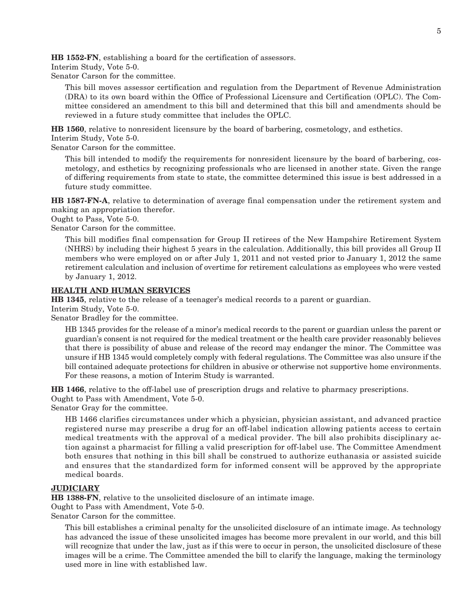**HB 1552-FN**, establishing a board for the certification of assessors.

Interim Study, Vote 5-0.

Senator Carson for the committee.

This bill moves assessor certification and regulation from the Department of Revenue Administration (DRA) to its own board within the Office of Professional Licensure and Certification (OPLC). The Committee considered an amendment to this bill and determined that this bill and amendments should be reviewed in a future study committee that includes the OPLC.

**HB 1560**, relative to nonresident licensure by the board of barbering, cosmetology, and esthetics.

Interim Study, Vote 5-0.

Senator Carson for the committee.

This bill intended to modify the requirements for nonresident licensure by the board of barbering, cosmetology, and esthetics by recognizing professionals who are licensed in another state. Given the range of differing requirements from state to state, the committee determined this issue is best addressed in a future study committee.

**HB 1587-FN-A**, relative to determination of average final compensation under the retirement system and making an appropriation therefor.

Ought to Pass, Vote 5-0.

Senator Carson for the committee.

This bill modifies final compensation for Group II retirees of the New Hampshire Retirement System (NHRS) by including their highest 5 years in the calculation. Additionally, this bill provides all Group II members who were employed on or after July 1, 2011 and not vested prior to January 1, 2012 the same retirement calculation and inclusion of overtime for retirement calculations as employees who were vested by January 1, 2012.

## **HEALTH AND HUMAN SERVICES**

**HB 1345**, relative to the release of a teenager's medical records to a parent or guardian.

Interim Study, Vote 5-0.

Senator Bradley for the committee.

HB 1345 provides for the release of a minor's medical records to the parent or guardian unless the parent or guardian's consent is not required for the medical treatment or the health care provider reasonably believes that there is possibility of abuse and release of the record may endanger the minor. The Committee was unsure if HB 1345 would completely comply with federal regulations. The Committee was also unsure if the bill contained adequate protections for children in abusive or otherwise not supportive home environments. For these reasons, a motion of Interim Study is warranted.

**HB 1466**, relative to the off-label use of prescription drugs and relative to pharmacy prescriptions. Ought to Pass with Amendment, Vote 5-0.

Senator Gray for the committee.

HB 1466 clarifies circumstances under which a physician, physician assistant, and advanced practice registered nurse may prescribe a drug for an off-label indication allowing patients access to certain medical treatments with the approval of a medical provider. The bill also prohibits disciplinary action against a pharmacist for filling a valid prescription for off-label use. The Committee Amendment both ensures that nothing in this bill shall be construed to authorize euthanasia or assisted suicide and ensures that the standardized form for informed consent will be approved by the appropriate medical boards.

## **JUDICIARY**

**HB 1388-FN**, relative to the unsolicited disclosure of an intimate image.

Ought to Pass with Amendment, Vote 5-0.

Senator Carson for the committee.

This bill establishes a criminal penalty for the unsolicited disclosure of an intimate image. As technology has advanced the issue of these unsolicited images has become more prevalent in our world, and this bill will recognize that under the law, just as if this were to occur in person, the unsolicited disclosure of these images will be a crime. The Committee amended the bill to clarify the language, making the terminology used more in line with established law.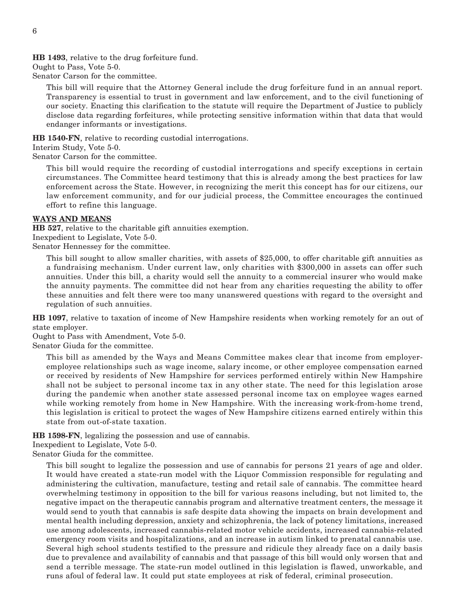**HB 1493**, relative to the drug forfeiture fund.

Ought to Pass, Vote 5-0.

Senator Carson for the committee.

This bill will require that the Attorney General include the drug forfeiture fund in an annual report. Transparency is essential to trust in government and law enforcement, and to the civil functioning of our society. Enacting this clarification to the statute will require the Department of Justice to publicly disclose data regarding forfeitures, while protecting sensitive information within that data that would endanger informants or investigations.

**HB 1540-FN**, relative to recording custodial interrogations.

Interim Study, Vote 5-0.

Senator Carson for the committee.

This bill would require the recording of custodial interrogations and specify exceptions in certain circumstances. The Committee heard testimony that this is already among the best practices for law enforcement across the State. However, in recognizing the merit this concept has for our citizens, our law enforcement community, and for our judicial process, the Committee encourages the continued effort to refine this language.

## **WAYS AND MEANS**

**HB 527**, relative to the charitable gift annuities exemption. Inexpedient to Legislate, Vote 5-0.

Senator Hennessey for the committee.

This bill sought to allow smaller charities, with assets of \$25,000, to offer charitable gift annuities as a fundraising mechanism. Under current law, only charities with \$300,000 in assets can offer such annuities. Under this bill, a charity would sell the annuity to a commercial insurer who would make the annuity payments. The committee did not hear from any charities requesting the ability to offer these annuities and felt there were too many unanswered questions with regard to the oversight and regulation of such annuities.

**HB 1097**, relative to taxation of income of New Hampshire residents when working remotely for an out of state employer.

Ought to Pass with Amendment, Vote 5-0.

Senator Giuda for the committee.

This bill as amended by the Ways and Means Committee makes clear that income from employeremployee relationships such as wage income, salary income, or other employee compensation earned or received by residents of New Hampshire for services performed entirely within New Hampshire shall not be subject to personal income tax in any other state. The need for this legislation arose during the pandemic when another state assessed personal income tax on employee wages earned while working remotely from home in New Hampshire. With the increasing work-from-home trend, this legislation is critical to protect the wages of New Hampshire citizens earned entirely within this state from out-of-state taxation.

**HB 1598-FN**, legalizing the possession and use of cannabis.

Inexpedient to Legislate, Vote 5-0.

Senator Giuda for the committee.

This bill sought to legalize the possession and use of cannabis for persons 21 years of age and older. It would have created a state-run model with the Liquor Commission responsible for regulating and administering the cultivation, manufacture, testing and retail sale of cannabis. The committee heard overwhelming testimony in opposition to the bill for various reasons including, but not limited to, the negative impact on the therapeutic cannabis program and alternative treatment centers, the message it would send to youth that cannabis is safe despite data showing the impacts on brain development and mental health including depression, anxiety and schizophrenia, the lack of potency limitations, increased use among adolescents, increased cannabis-related motor vehicle accidents, increased cannabis-related emergency room visits and hospitalizations, and an increase in autism linked to prenatal cannabis use. Several high school students testified to the pressure and ridicule they already face on a daily basis due to prevalence and availability of cannabis and that passage of this bill would only worsen that and send a terrible message. The state-run model outlined in this legislation is flawed, unworkable, and runs afoul of federal law. It could put state employees at risk of federal, criminal prosecution.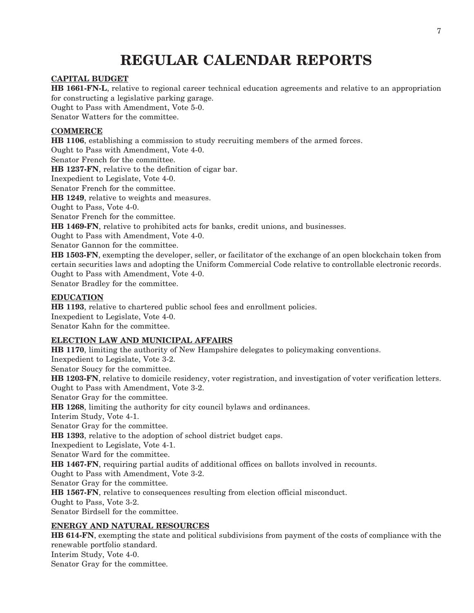## **REGULAR CALENDAR REPORTS**

## **CAPITAL BUDGET**

**HB 1661-FN-L**, relative to regional career technical education agreements and relative to an appropriation for constructing a legislative parking garage.

Ought to Pass with Amendment, Vote 5-0.

Senator Watters for the committee.

## **COMMERCE**

**HB 1106**, establishing a commission to study recruiting members of the armed forces. Ought to Pass with Amendment, Vote 4-0. Senator French for the committee. **HB 1237-FN**, relative to the definition of cigar bar. Inexpedient to Legislate, Vote 4-0. Senator French for the committee. **HB 1249**, relative to weights and measures. Ought to Pass, Vote 4-0. Senator French for the committee. **HB 1469-FN**, relative to prohibited acts for banks, credit unions, and businesses. Ought to Pass with Amendment, Vote 4-0. Senator Gannon for the committee.

**HB 1503-FN**, exempting the developer, seller, or facilitator of the exchange of an open blockchain token from certain securities laws and adopting the Uniform Commercial Code relative to controllable electronic records. Ought to Pass with Amendment, Vote 4-0.

Senator Bradley for the committee.

## **EDUCATION**

**HB 1193**, relative to chartered public school fees and enrollment policies. Inexpedient to Legislate, Vote 4-0. Senator Kahn for the committee.

## **ELECTION LAW AND MUNICIPAL AFFAIRS**

**HB 1170**, limiting the authority of New Hampshire delegates to policymaking conventions. Inexpedient to Legislate, Vote 3-2. Senator Soucy for the committee. **HB 1203-FN**, relative to domicile residency, voter registration, and investigation of voter verification letters. Ought to Pass with Amendment, Vote 3-2. Senator Gray for the committee. **HB 1268**, limiting the authority for city council bylaws and ordinances. Interim Study, Vote 4-1. Senator Gray for the committee. **HB 1393**, relative to the adoption of school district budget caps. Inexpedient to Legislate, Vote 4-1. Senator Ward for the committee. **HB 1467-FN**, requiring partial audits of additional offices on ballots involved in recounts. Ought to Pass with Amendment, Vote 3-2. Senator Gray for the committee. **HB 1567-FN**, relative to consequences resulting from election official misconduct. Ought to Pass, Vote 3-2. Senator Birdsell for the committee. **ENERGY AND NATURAL RESOURCES**

**HB 614-FN**, exempting the state and political subdivisions from payment of the costs of compliance with the renewable portfolio standard. Interim Study, Vote 4-0. Senator Gray for the committee.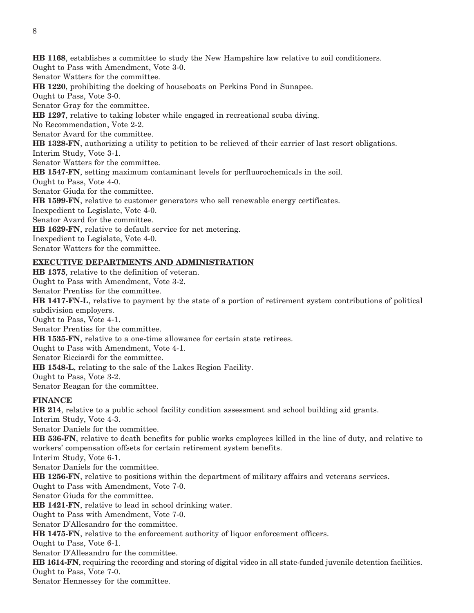**HB 1168**, establishes a committee to study the New Hampshire law relative to soil conditioners. Ought to Pass with Amendment, Vote 3-0. Senator Watters for the committee. **HB 1220**, prohibiting the docking of houseboats on Perkins Pond in Sunapee. Ought to Pass, Vote 3-0. Senator Gray for the committee. **HB 1297**, relative to taking lobster while engaged in recreational scuba diving. No Recommendation, Vote 2-2. Senator Avard for the committee. **HB 1328-FN**, authorizing a utility to petition to be relieved of their carrier of last resort obligations. Interim Study, Vote 3-1. Senator Watters for the committee. **HB 1547-FN**, setting maximum contaminant levels for perfluorochemicals in the soil. Ought to Pass, Vote 4-0. Senator Giuda for the committee. **HB 1599-FN**, relative to customer generators who sell renewable energy certificates. Inexpedient to Legislate, Vote 4-0. Senator Avard for the committee. **HB 1629-FN**, relative to default service for net metering. Inexpedient to Legislate, Vote 4-0. Senator Watters for the committee.

## **EXECUTIVE DEPARTMENTS AND ADMINISTRATION**

**HB 1375**, relative to the definition of veteran. Ought to Pass with Amendment, Vote 3-2. Senator Prentiss for the committee. **HB 1417-FN-L**, relative to payment by the state of a portion of retirement system contributions of political subdivision employers. Ought to Pass, Vote 4-1. Senator Prentiss for the committee. **HB 1535-FN**, relative to a one-time allowance for certain state retirees. Ought to Pass with Amendment, Vote 4-1. Senator Ricciardi for the committee. **HB 1548-L**, relating to the sale of the Lakes Region Facility. Ought to Pass, Vote 3-2. Senator Reagan for the committee. **FINANCE HB 214**, relative to a public school facility condition assessment and school building aid grants. Interim Study, Vote 4-3. Senator Daniels for the committee.

**HB 536-FN**, relative to death benefits for public works employees killed in the line of duty, and relative to workers' compensation offsets for certain retirement system benefits.

Interim Study, Vote 6-1.

Senator Daniels for the committee.

**HB 1256-FN**, relative to positions within the department of military affairs and veterans services.

Ought to Pass with Amendment, Vote 7-0.

Senator Giuda for the committee.

**HB 1421-FN**, relative to lead in school drinking water.

Ought to Pass with Amendment, Vote 7-0.

Senator D'Allesandro for the committee.

**HB 1475-FN**, relative to the enforcement authority of liquor enforcement officers.

Ought to Pass, Vote 6-1.

Senator D'Allesandro for the committee.

**HB 1614-FN**, requiring the recording and storing of digital video in all state-funded juvenile detention facilities. Ought to Pass, Vote 7-0.

Senator Hennessey for the committee.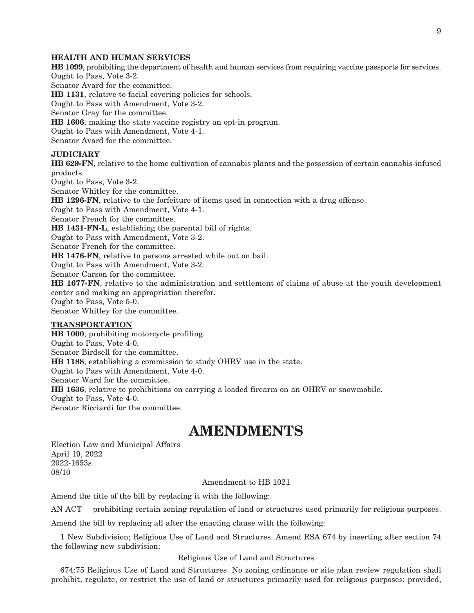#### **HEALTH AND HUMAN SERVICES**

**HB 1099**, prohibiting the department of health and human services from requiring vaccine passports for services. Ought to Pass, Vote 3-2. Senator Avard for the committee. **HB 1131**, relative to facial covering policies for schools. Ought to Pass with Amendment, Vote 3-2. Senator Gray for the committee. **HB 1606**, making the state vaccine registry an opt-in program. Ought to Pass with Amendment, Vote 4-1. Senator Avard for the committee.

## **JUDICIARY**

**HB 629-FN**, relative to the home cultivation of cannabis plants and the possession of certain cannabis-infused products.

Ought to Pass, Vote 3-2.

Senator Whitley for the committee.

**HB 1296-FN**, relative to the forfeiture of items used in connection with a drug offense.

Ought to Pass with Amendment, Vote 4-1.

Senator French for the committee.

**HB 1431-FN-L**, establishing the parental bill of rights.

Ought to Pass with Amendment, Vote 3-2.

Senator French for the committee.

**HB 1476-FN**, relative to persons arrested while out on bail.

Ought to Pass with Amendment, Vote 3-2.

Senator Carson for the committee.

**HB 1677-FN**, relative to the administration and settlement of claims of abuse at the youth development center and making an appropriation therefor.

Ought to Pass, Vote 5-0.

Senator Whitley for the committee.

#### **TRANSPORTATION**

**HB 1000**, prohibiting motorcycle profiling. Ought to Pass, Vote 4-0. Senator Birdsell for the committee. **HB 1188**, establishing a commission to study OHRV use in the state. Ought to Pass with Amendment, Vote 4-0. Senator Ward for the committee. **HB 1636**, relative to prohibitions on carrying a loaded firearm on an OHRV or snowmobile. Ought to Pass, Vote 4-0. Senator Ricciardi for the committee.

## **AMENDMENTS**

Election Law and Municipal Affairs April 19, 2022 2022-1653s 08/10

Amendment to HB 1021

Amend the title of the bill by replacing it with the following:

AN ACT prohibiting certain zoning regulation of land or structures used primarily for religious purposes.

Amend the bill by replacing all after the enacting clause with the following:

1 New Subdivision; Religious Use of Land and Structures. Amend RSA 674 by inserting after section 74 the following new subdivision:

## Religious Use of Land and Structures

674:75 Religious Use of Land and Structures. No zoning ordinance or site plan review regulation shall prohibit, regulate, or restrict the use of land or structures primarily used for religious purposes; provided,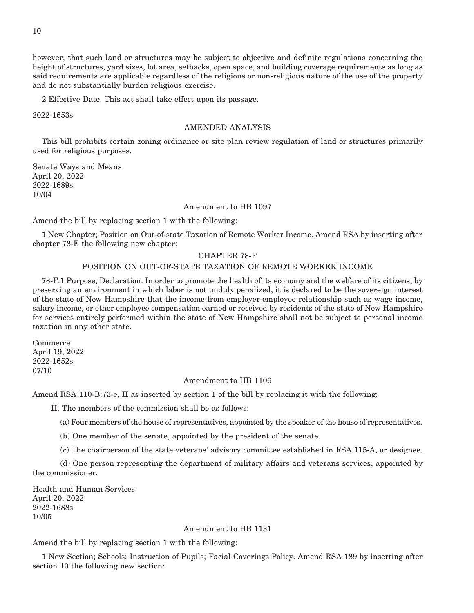however, that such land or structures may be subject to objective and definite regulations concerning the height of structures, yard sizes, lot area, setbacks, open space, and building coverage requirements as long as said requirements are applicable regardless of the religious or non-religious nature of the use of the property and do not substantially burden religious exercise.

2 Effective Date. This act shall take effect upon its passage.

2022-1653s

10

## AMENDED ANALYSIS

This bill prohibits certain zoning ordinance or site plan review regulation of land or structures primarily used for religious purposes.

Senate Ways and Means April 20, 2022 2022-1689s 10/04

## Amendment to HB 1097

Amend the bill by replacing section 1 with the following:

1 New Chapter; Position on Out-of-state Taxation of Remote Worker Income. Amend RSA by inserting after chapter 78-E the following new chapter:

## CHAPTER 78-F

## POSITION ON OUT-OF-STATE TAXATION OF REMOTE WORKER INCOME

78-F:1 Purpose; Declaration. In order to promote the health of its economy and the welfare of its citizens, by preserving an environment in which labor is not unduly penalized, it is declared to be the sovereign interest of the state of New Hampshire that the income from employer-employee relationship such as wage income, salary income, or other employee compensation earned or received by residents of the state of New Hampshire for services entirely performed within the state of New Hampshire shall not be subject to personal income taxation in any other state.

Commerce April 19, 2022 2022-1652s 07/10

## Amendment to HB 1106

Amend RSA 110-B:73-e, II as inserted by section 1 of the bill by replacing it with the following:

II. The members of the commission shall be as follows:

- (a) Four members of the house of representatives, appointed by the speaker of the house of representatives.
- (b) One member of the senate, appointed by the president of the senate.
- (c) The chairperson of the state veterans' advisory committee established in RSA 115-A, or designee.

 (d) One person representing the department of military affairs and veterans services, appointed by the commissioner.

Health and Human Services April 20, 2022 2022-1688s 10/05

## Amendment to HB 1131

Amend the bill by replacing section 1 with the following:

1 New Section; Schools; Instruction of Pupils; Facial Coverings Policy. Amend RSA 189 by inserting after section 10 the following new section: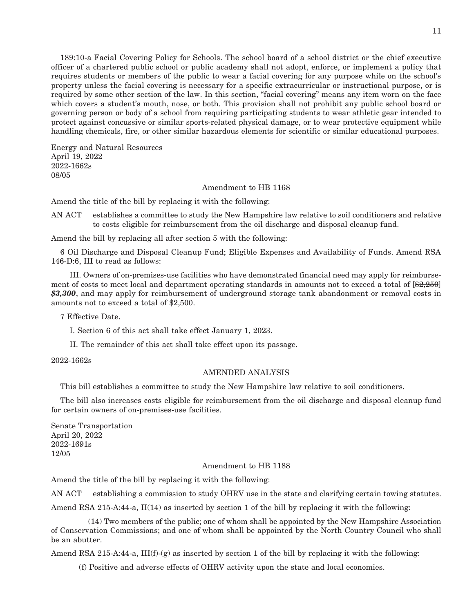189:10-a Facial Covering Policy for Schools. The school board of a school district or the chief executive officer of a chartered public school or public academy shall not adopt, enforce, or implement a policy that requires students or members of the public to wear a facial covering for any purpose while on the school's property unless the facial covering is necessary for a specific extracurricular or instructional purpose, or is required by some other section of the law. In this section, "facial covering" means any item worn on the face which covers a student's mouth, nose, or both. This provision shall not prohibit any public school board or governing person or body of a school from requiring participating students to wear athletic gear intended to protect against concussive or similar sports-related physical damage, or to wear protective equipment while handling chemicals, fire, or other similar hazardous elements for scientific or similar educational purposes.

Energy and Natural Resources April 19, 2022 2022-1662s 08/05

Amendment to HB 1168

Amend the title of the bill by replacing it with the following:

AN ACT establishes a committee to study the New Hampshire law relative to soil conditioners and relative to costs eligible for reimbursement from the oil discharge and disposal cleanup fund.

Amend the bill by replacing all after section 5 with the following:

6 Oil Discharge and Disposal Cleanup Fund; Eligible Expenses and Availability of Funds. Amend RSA 146-D:6, III to read as follows:

 III. Owners of on-premises-use facilities who have demonstrated financial need may apply for reimbursement of costs to meet local and department operating standards in amounts not to exceed a total of  $\left[\frac{22,250}{2}\right]$ *\$3,300*, and may apply for reimbursement of underground storage tank abandonment or removal costs in amounts not to exceed a total of \$2,500.

7 Effective Date.

I. Section 6 of this act shall take effect January 1, 2023.

II. The remainder of this act shall take effect upon its passage.

2022-1662s

## AMENDED ANALYSIS

This bill establishes a committee to study the New Hampshire law relative to soil conditioners.

The bill also increases costs eligible for reimbursement from the oil discharge and disposal cleanup fund for certain owners of on-premises-use facilities.

Senate Transportation April 20, 2022 2022-1691s 12/05

### Amendment to HB 1188

Amend the title of the bill by replacing it with the following:

AN ACT establishing a commission to study OHRV use in the state and clarifying certain towing statutes.

Amend RSA 215-A:44-a, II(14) as inserted by section 1 of the bill by replacing it with the following:

 (14) Two members of the public; one of whom shall be appointed by the New Hampshire Association of Conservation Commissions; and one of whom shall be appointed by the North Country Council who shall be an abutter.

Amend RSA 215-A:44-a,  $III(f)-(g)$  as inserted by section 1 of the bill by replacing it with the following:

(f) Positive and adverse effects of OHRV activity upon the state and local economies.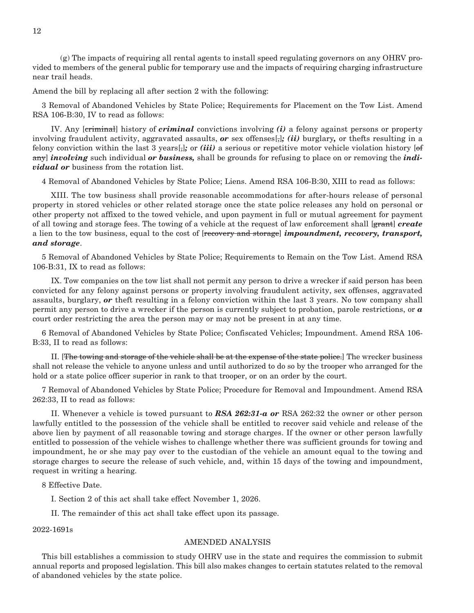(g) The impacts of requiring all rental agents to install speed regulating governors on any OHRV provided to members of the general public for temporary use and the impacts of requiring charging infrastructure near trail heads.

Amend the bill by replacing all after section 2 with the following:

3 Removal of Abandoned Vehicles by State Police; Requirements for Placement on the Tow List. Amend RSA 106-B:30, IV to read as follows:

 IV. Any [criminal] history of *criminal* convictions involving *(i)* a felony against persons or property involving fraudulent activity, aggravated assaults, *or* sex offenses[,]; (*ii*) burglary, or the fts resulting in a felony conviction within the last 3 years[,]*;* or *(iii)* a serious or repetitive motor vehicle violation history [of any] *involving* such individual *or business,* shall be grounds for refusing to place on or removing the *individual or* business from the rotation list.

4 Removal of Abandoned Vehicles by State Police; Liens. Amend RSA 106-B:30, XIII to read as follows:

 XIII. The tow business shall provide reasonable accommodations for after-hours release of personal property in stored vehicles or other related storage once the state police releases any hold on personal or other property not affixed to the towed vehicle, and upon payment in full or mutual agreement for payment of all towing and storage fees. The towing of a vehicle at the request of law enforcement shall [grant] *create* a lien to the tow business, equal to the cost of [recovery and storage] *impoundment, recovery, transport, and storage*.

5 Removal of Abandoned Vehicles by State Police; Requirements to Remain on the Tow List. Amend RSA 106-B:31, IX to read as follows:

 IX. Tow companies on the tow list shall not permit any person to drive a wrecker if said person has been convicted for any felony against persons or property involving fraudulent activity, sex offenses, aggravated assaults, burglary, *or* theft resulting in a felony conviction within the last 3 years. No tow company shall permit any person to drive a wrecker if the person is currently subject to probation, parole restrictions, or *a*  court order restricting the area the person may or may not be present in at any time.

6 Removal of Abandoned Vehicles by State Police; Confiscated Vehicles; Impoundment. Amend RSA 106- B:33, II to read as follows:

 II. [The towing and storage of the vehicle shall be at the expense of the state police.] The wrecker business shall not release the vehicle to anyone unless and until authorized to do so by the trooper who arranged for the hold or a state police officer superior in rank to that trooper, or on an order by the court.

7 Removal of Abandoned Vehicles by State Police; Procedure for Removal and Impoundment. Amend RSA 262:33, II to read as follows:

 II. Whenever a vehicle is towed pursuant to *RSA 262:31-a or* RSA 262:32 the owner or other person lawfully entitled to the possession of the vehicle shall be entitled to recover said vehicle and release of the above lien by payment of all reasonable towing and storage charges. If the owner or other person lawfully entitled to possession of the vehicle wishes to challenge whether there was sufficient grounds for towing and impoundment, he or she may pay over to the custodian of the vehicle an amount equal to the towing and storage charges to secure the release of such vehicle, and, within 15 days of the towing and impoundment, request in writing a hearing.

8 Effective Date.

I. Section 2 of this act shall take effect November 1, 2026.

II. The remainder of this act shall take effect upon its passage.

2022-1691s

### AMENDED ANALYSIS

This bill establishes a commission to study OHRV use in the state and requires the commission to submit annual reports and proposed legislation. This bill also makes changes to certain statutes related to the removal of abandoned vehicles by the state police.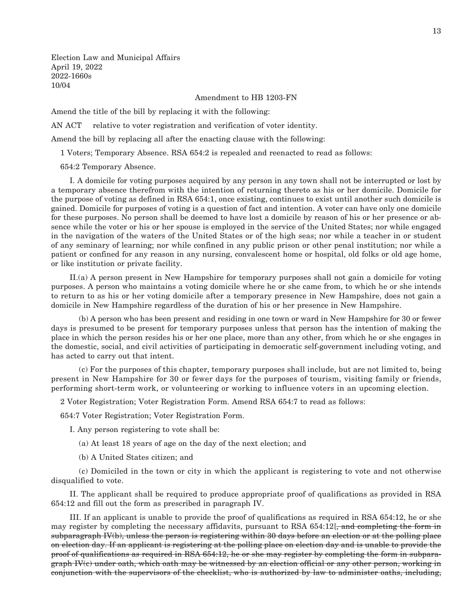Election Law and Municipal Affairs April 19, 2022 2022-1660s 10/04

## Amendment to HB 1203-FN

Amend the title of the bill by replacing it with the following:

AN ACT relative to voter registration and verification of voter identity.

Amend the bill by replacing all after the enacting clause with the following:

1 Voters; Temporary Absence. RSA 654:2 is repealed and reenacted to read as follows:

654:2 Temporary Absence.

 I. A domicile for voting purposes acquired by any person in any town shall not be interrupted or lost by a temporary absence therefrom with the intention of returning thereto as his or her domicile. Domicile for the purpose of voting as defined in RSA 654:1, once existing, continues to exist until another such domicile is gained. Domicile for purposes of voting is a question of fact and intention. A voter can have only one domicile for these purposes. No person shall be deemed to have lost a domicile by reason of his or her presence or absence while the voter or his or her spouse is employed in the service of the United States; nor while engaged in the navigation of the waters of the United States or of the high seas; nor while a teacher in or student of any seminary of learning; nor while confined in any public prison or other penal institution; nor while a patient or confined for any reason in any nursing, convalescent home or hospital, old folks or old age home, or like institution or private facility.

 II.(a) A person present in New Hampshire for temporary purposes shall not gain a domicile for voting purposes. A person who maintains a voting domicile where he or she came from, to which he or she intends to return to as his or her voting domicile after a temporary presence in New Hampshire, does not gain a domicile in New Hampshire regardless of the duration of his or her presence in New Hampshire.

 (b) A person who has been present and residing in one town or ward in New Hampshire for 30 or fewer days is presumed to be present for temporary purposes unless that person has the intention of making the place in which the person resides his or her one place, more than any other, from which he or she engages in the domestic, social, and civil activities of participating in democratic self-government including voting, and has acted to carry out that intent.

 (c) For the purposes of this chapter, temporary purposes shall include, but are not limited to, being present in New Hampshire for 30 or fewer days for the purposes of tourism, visiting family or friends, performing short-term work, or volunteering or working to influence voters in an upcoming election.

2 Voter Registration; Voter Registration Form. Amend RSA 654:7 to read as follows:

654:7 Voter Registration; Voter Registration Form.

I. Any person registering to vote shall be:

- (a) At least 18 years of age on the day of the next election; and
- (b) A United States citizen; and

 (c) Domiciled in the town or city in which the applicant is registering to vote and not otherwise disqualified to vote.

 II. The applicant shall be required to produce appropriate proof of qualifications as provided in RSA 654:12 and fill out the form as prescribed in paragraph IV.

 III. If an applicant is unable to provide the proof of qualifications as required in RSA 654:12, he or she may register by completing the necessary affidavits, pursuant to RSA  $654:12$ , and completing the form in subparagraph IV(b), unless the person is registering within 30 days before an election or at the polling place on election day. If an applicant is registering at the polling place on election day and is unable to provide the proof of qualifications as required in RSA 654:12, he or she may register by completing the form in subpara $graph IV(c)$  under oath, which oath may be witnessed by an election official or any other person, working in conjunction with the supervisors of the checklist, who is authorized by law to administer oaths, including,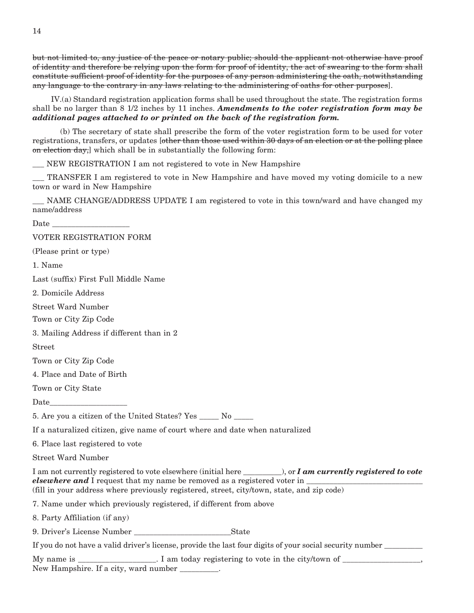but not limited to, any justice of the peace or notary public; should the applicant not otherwise have proof of identity and therefore be relying upon the form for proof of identity, the act of swearing to the form shall constitute sufficient proof of identity for the purposes of any person administering the oath, notwithstanding any language to the contrary in any laws relating to the administering of oaths for other purposes].

 IV.(a) Standard registration application forms shall be used throughout the state. The registration forms shall be no larger than 8 1/2 inches by 11 inches. *Amendments to the voter registration form may be additional pages attached to or printed on the back of the registration form.*

 (b) The secretary of state shall prescribe the form of the voter registration form to be used for voter registrations, transfers, or updates [other than those used within 30 days of an election or at the polling place on election day, which shall be in substantially the following form:

\_\_\_ NEW REGISTRATION I am not registered to vote in New Hampshire

\_\_\_ TRANSFER I am registered to vote in New Hampshire and have moved my voting domicile to a new town or ward in New Hampshire

NAME CHANGE/ADDRESS UPDATE I am registered to vote in this town/ward and have changed my name/address

 $\rm{\textit{Date}}$ 

VOTER REGISTRATION FORM

(Please print or type)

1. Name

Last (suffix) First Full Middle Name

2. Domicile Address

Street Ward Number

Town or City Zip Code

3. Mailing Address if different than in 2

Street

Town or City Zip Code

4. Place and Date of Birth

Town or City State

Date

5. Are you a citizen of the United States? Yes \_\_\_\_\_\_ No

If a naturalized citizen, give name of court where and date when naturalized

6. Place last registered to vote

Street Ward Number

I am not currently registered to vote elsewhere (initial here \_\_\_\_\_\_\_\_\_\_), or *I am currently registered to vote elsewhere and* I request that my name be removed as a registered voter in (fill in your address where previously registered, street, city/town, state, and zip code)

7. Name under which previously registered, if different from above

8. Party Affiliation (if any)

9. Driver's License Number State

If you do not have a valid driver's license, provide the last four digits of your social security number  $\frac{1}{\sqrt{1-\frac{1}{\sqrt{1-\frac{1}{\sqrt{1-\frac{1}{\sqrt{1-\frac{1}{\sqrt{1-\frac{1}{\sqrt{1-\frac{1}{\sqrt{1-\frac{1}{\sqrt{1-\frac{1}{\sqrt{1-\frac{1}{\sqrt{1-\frac{1}{\sqrt{1-\frac{1}{\sqrt{1-\frac{1}{\sqrt{$ 

My name is \_\_\_\_\_\_\_\_\_\_\_\_\_\_\_\_. I am today registering to vote in the city/town of \_\_\_\_\_\_\_\_\_\_\_\_\_\_\_\_, New Hampshire. If a city, ward number \_\_\_\_\_\_\_\_\_\_.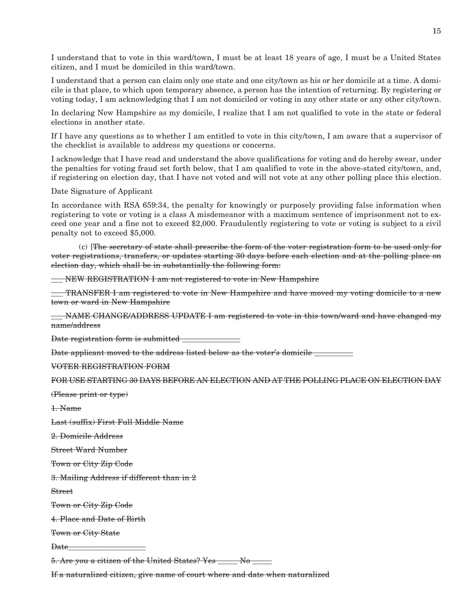I understand that to vote in this ward/town, I must be at least 18 years of age, I must be a United States citizen, and I must be domiciled in this ward/town.

I understand that a person can claim only one state and one city/town as his or her domicile at a time. A domicile is that place, to which upon temporary absence, a person has the intention of returning. By registering or voting today, I am acknowledging that I am not domiciled or voting in any other state or any other city/town.

In declaring New Hampshire as my domicile, I realize that I am not qualified to vote in the state or federal elections in another state.

If I have any questions as to whether I am entitled to vote in this city/town, I am aware that a supervisor of the checklist is available to address my questions or concerns.

I acknowledge that I have read and understand the above qualifications for voting and do hereby swear, under the penalties for voting fraud set forth below, that I am qualified to vote in the above-stated city/town, and, if registering on election day, that I have not voted and will not vote at any other polling place this election.

Date Signature of Applicant

In accordance with RSA 659:34, the penalty for knowingly or purposely providing false information when registering to vote or voting is a class A misdemeanor with a maximum sentence of imprisonment not to exceed one year and a fine not to exceed \$2,000. Fraudulently registering to vote or voting is subject to a civil penalty not to exceed \$5,000.

 (c) [The secretary of state shall prescribe the form of the voter registration form to be used only for voter registrations, transfers, or updates starting 30 days before each election and at the polling place on election day, which shall be in substantially the following form:

\_\_\_ NEW REGISTRATION I am not registered to vote in New Hampshire

\_\_\_ TRANSFER I am registered to vote in New Hampshire and have moved my voting domicile to a new town or ward in New Hampshire

\_\_\_ NAME CHANGE/ADDRESS UPDATE I am registered to vote in this town/ward and have changed my name/address

Date registration form is submitted \_\_\_\_\_\_\_\_\_\_\_\_\_\_\_

Date applicant moved to the address listed below as the voter's domicile \_\_\_\_\_\_\_\_

VOTER REGISTRATION FORM

FOR USE STARTING 30 DAYS BEFORE AN ELECTION AND AT THE POLLING PLACE ON ELECTION DAY

(Please print or type)

1. Name

Last (suffix) First Full Middle Name

2. Domicile Address

Street Ward Number

Town or City Zip Code

3. Mailing Address if different than in 2

Street

Town or City Zip Code

4. Place and Date of Birth

Town or City State

Date

5. Are you a citizen of the United States? Yes \_\_\_\_\_ No \_\_\_\_\_

If a naturalized citizen, give name of court where and date when naturalized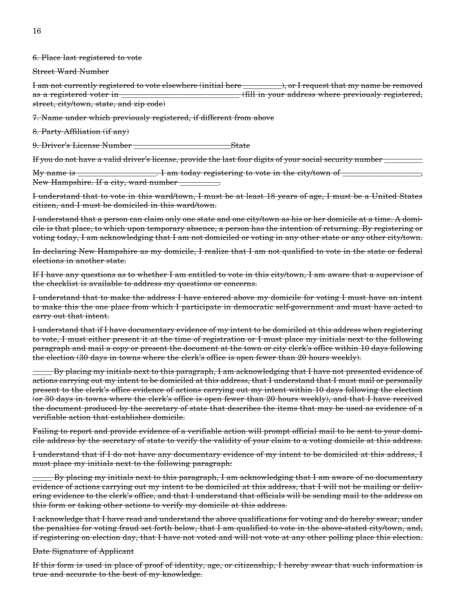16

6. Place last registered to vote

Street Ward Number

I am not currently registered to vote elsewhere (initial here \_\_\_\_\_\_\_\_\_\_), or I request that my name be removed as a registered voter in \_\_\_\_\_\_\_\_\_\_\_\_\_\_\_\_\_\_\_\_\_\_\_\_\_\_\_\_\_\_ (fill in your address where previously registered, street, city/town, state, and zip code)

7. Name under which previously registered, if different from above

8. Party Affiliation (if any)

9. Driver's License Number State

If you do not have a valid driver's license, provide the last four digits of your social security number

My name is  $\frac{1}{\sqrt{2}}$  am today registering to vote in the city/town of  $\frac{1}{\sqrt{2}}$ New Hampshire. If a city, ward number

I understand that to vote in this ward/town, I must be at least 18 years of age, I must be a United States citizen, and I must be domiciled in this ward/town.

I understand that a person can claim only one state and one city/town as his or her domicile at a time. A domicile is that place, to which upon temporary absence, a person has the intention of returning. By registering or voting today, I am acknowledging that I am not domiciled or voting in any other state or any other city/town.

In declaring New Hampshire as my domicile, I realize that I am not qualified to vote in the state or federal elections in another state.

If I have any questions as to whether I am entitled to vote in this city/town, I am aware that a supervisor of the checklist is available to address my questions or concerns.

I understand that to make the address I have entered above my domicile for voting I must have an intent to make this the one place from which I participate in democratic self-government and must have acted to carry out that intent.

I understand that if I have documentary evidence of my intent to be domiciled at this address when registering to vote, I must either present it at the time of registration or I must place my initials next to the following paragraph and mail a copy or present the document at the town or city clerk's office within 10 days following the election (30 days in towns where the clerk's office is open fewer than 20 hours weekly).

\_\_\_\_\_ By placing my initials next to this paragraph, I am acknowledging that I have not presented evidence of actions carrying out my intent to be domiciled at this address, that I understand that I must mail or personally present to the clerk's office evidence of actions carrying out my intent within 10 days following the election (or 30 days in towns where the clerk's office is open fewer than 20 hours weekly), and that I have received the document produced by the secretary of state that describes the items that may be used as evidence of a verifiable action that establishes domicile.

Failing to report and provide evidence of a verifiable action will prompt official mail to be sent to your domicile address by the secretary of state to verify the validity of your claim to a voting domicile at this address.

I understand that if I do not have any documentary evidence of my intent to be domiciled at this address, I must place my initials next to the following paragraph:

By placing my initials next to this paragraph, I am acknowledging that I am aware of no documentary evidence of actions carrying out my intent to be domiciled at this address, that I will not be mailing or delivering evidence to the clerk's office, and that I understand that officials will be sending mail to the address on this form or taking other actions to verify my domicile at this address.

I acknowledge that I have read and understand the above qualifications for voting and do hereby swear, under the penalties for voting fraud set forth below, that I am qualified to vote in the above-stated city/town, and, if registering on election day, that I have not voted and will not vote at any other polling place this election.

### Date Signature of Applicant

If this form is used in place of proof of identity, age, or citizenship, I hereby swear that such information is true and accurate to the best of my knowledge.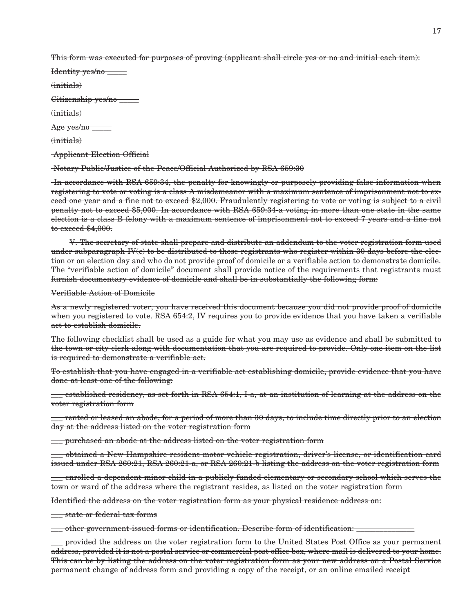This form was executed for purposes of proving (applicant shall circle yes or no and initial each item):

| Identity yes/no _    |  |
|----------------------|--|
| $(i$ nitials)        |  |
| Citizenship yes/no _ |  |
|                      |  |
| $(i$ nitials)        |  |

(initials)

Applicant Election Official

Notary Public/Justice of the Peace/Official Authorized by RSA 659:30

In accordance with RSA 659:34, the penalty for knowingly or purposely providing false information when registering to vote or voting is a class A misdemeanor with a maximum sentence of imprisonment not to exceed one year and a fine not to exceed \$2,000. Fraudulently registering to vote or voting is subject to a civil penalty not to exceed \$5,000. In accordance with RSA 659:34-a voting in more than one state in the same election is a class B felony with a maximum sentence of imprisonment not to exceed 7 years and a fine not to exceed \$4,000.

 V. The secretary of state shall prepare and distribute an addendum to the voter registration form used under subparagraph IV(c) to be distributed to those registrants who register within 30 days before the election or on election day and who do not provide proof of domicile or a verifiable action to demonstrate domicile. The "verifiable action of domicile" document shall provide notice of the requirements that registrants must furnish documentary evidence of domicile and shall be in substantially the following form:

Verifiable Action of Domicile

As a newly registered voter, you have received this document because you did not provide proof of domicile when you registered to vote. RSA 654:2, IV requires you to provide evidence that you have taken a verifiable act to establish domicile.

The following checklist shall be used as a guide for what you may use as evidence and shall be submitted to the town or city clerk along with documentation that you are required to provide. Only one item on the list is required to demonstrate a verifiable act.

To establish that you have engaged in a verifiable act establishing domicile, provide evidence that you have done at least one of the following:

\_\_\_ established residency, as set forth in RSA 654:1, I-a, at an institution of learning at the address on the voter registration form

 $\equiv$  rented or leased an abode, for a period of more than 30 days, to include time directly prior to an election day at the address listed on the voter registration form

\_\_\_ purchased an abode at the address listed on the voter registration form

\_\_\_ obtained a New Hampshire resident motor vehicle registration, driver's license, or identification card issued under RSA 260:21, RSA 260:21-a, or RSA 260:21-b listing the address on the voter registration form

\_\_\_ enrolled a dependent minor child in a publicly funded elementary or secondary school which serves the town or ward of the address where the registrant resides, as listed on the voter registration form

Identified the address on the voter registration form as your physical residence address on:

\_\_\_ state or federal tax forms

\_\_\_ other government-issued forms or identification. Describe form of identification: \_\_\_\_\_\_\_\_\_\_\_\_\_\_\_

\_\_\_ provided the address on the voter registration form to the United States Post Office as your permanent address, provided it is not a postal service or commercial post office box, where mail is delivered to your home. This can be by listing the address on the voter registration form as your new address on a Postal Service permanent change of address form and providing a copy of the receipt, or an online emailed receipt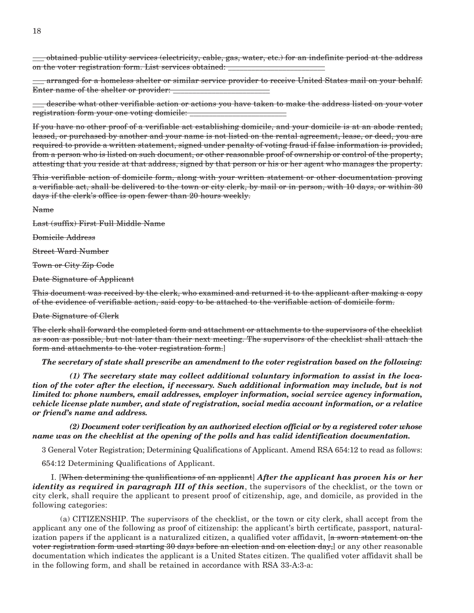\_\_\_ obtained public utility services (electricity, cable, gas, water, etc.) for an indefinite period at the address on the voter registration form. List services obtained: \_\_\_\_\_\_\_\_\_\_\_\_\_\_\_\_\_\_\_\_\_\_\_\_

arranged for a homeless shelter or similar service provider to receive United States mail on your behalf. Enter name of the shelter or provider:

\_\_\_ describe what other verifiable action or actions you have taken to make the address listed on your voter registration form your one voting domicile:

If you have no other proof of a verifiable act establishing domicile, and your domicile is at an abode rented, leased, or purchased by another and your name is not listed on the rental agreement, lease, or deed, you are required to provide a written statement, signed under penalty of voting fraud if false information is provided, from a person who is listed on such document, or other reasonable proof of ownership or control of the property, attesting that you reside at that address, signed by that person or his or her agent who manages the property.

This verifiable action of domicile form, along with your written statement or other documentation proving a verifiable act, shall be delivered to the town or city clerk, by mail or in person, with 10 days, or within 30 days if the clerk's office is open fewer than 20 hours weekly.

Name

Last (suffix) First Full Middle Name

Domicile Address

Street Ward Number

Town or City Zip Code

Date Signature of Applicant

This document was received by the clerk, who examined and returned it to the applicant after making a copy of the evidence of verifiable action, said copy to be attached to the verifiable action of domicile form.

#### Date Signature of Clerk

The clerk shall forward the completed form and attachment or attachments to the supervisors of the checklist as soon as possible, but not later than their next meeting. The supervisors of the checklist shall attach the form and attachments to the voter registration form.]

*The secretary of state shall prescribe an amendment to the voter registration based on the following:*

 *(1) The secretary state may collect additional voluntary information to assist in the location of the voter after the election, if necessary. Such additional information may include, but is not limited to: phone numbers, email addresses, employer information, social service agency information, vehicle license plate number, and state of registration, social media account information, or a relative or friend's name and address.*

 *(2) Document voter verification by an authorized election official or by a registered voter whose name was on the checklist at the opening of the polls and has valid identification documentation.*

3 General Voter Registration; Determining Qualifications of Applicant. Amend RSA 654:12 to read as follows:

654:12 Determining Qualifications of Applicant.

 I. [When determining the qualifications of an applicant] *After the applicant has proven his or her identity as required in paragraph III of this section*, the supervisors of the checklist, or the town or city clerk, shall require the applicant to present proof of citizenship, age, and domicile, as provided in the following categories:

 (a) CITIZENSHIP. The supervisors of the checklist, or the town or city clerk, shall accept from the applicant any one of the following as proof of citizenship: the applicant's birth certificate, passport, naturalization papers if the applicant is a naturalized citizen, a qualified voter affidavit, [a sworn statement on the voter registration form used starting 30 days before an election and on election day,] or any other reasonable documentation which indicates the applicant is a United States citizen. The qualified voter affidavit shall be in the following form, and shall be retained in accordance with RSA 33-A:3-a: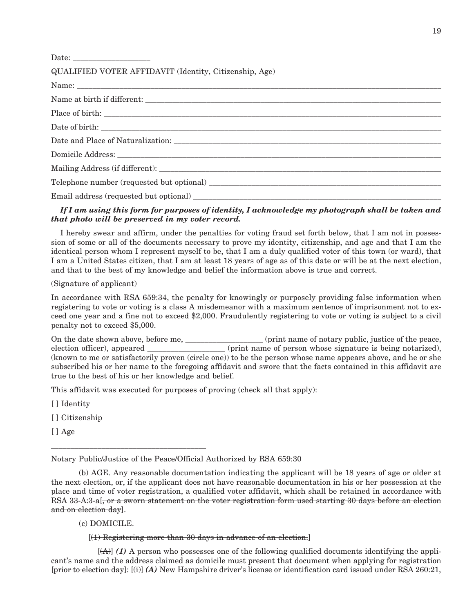| Date: $\frac{1}{\sqrt{1-\frac{1}{2}}\sqrt{1-\frac{1}{2}}\sqrt{1-\frac{1}{2}}\sqrt{1-\frac{1}{2}}\sqrt{1-\frac{1}{2}}\sqrt{1-\frac{1}{2}}\sqrt{1-\frac{1}{2}}\sqrt{1-\frac{1}{2}}\sqrt{1-\frac{1}{2}}\sqrt{1-\frac{1}{2}}\sqrt{1-\frac{1}{2}}\sqrt{1-\frac{1}{2}}\sqrt{1-\frac{1}{2}}\sqrt{1-\frac{1}{2}}\sqrt{1-\frac{1}{2}}\sqrt{1-\frac{1}{2}}\sqrt{1-\frac{1}{2}}\sqrt{1-\frac{1}{2}}\sqrt{1-\frac{1}{2}}$ |
|---------------------------------------------------------------------------------------------------------------------------------------------------------------------------------------------------------------------------------------------------------------------------------------------------------------------------------------------------------------------------------------------------------------|
| QUALIFIED VOTER AFFIDAVIT (Identity, Citizenship, Age)                                                                                                                                                                                                                                                                                                                                                        |
|                                                                                                                                                                                                                                                                                                                                                                                                               |
| Name at birth if different:                                                                                                                                                                                                                                                                                                                                                                                   |
|                                                                                                                                                                                                                                                                                                                                                                                                               |
|                                                                                                                                                                                                                                                                                                                                                                                                               |
|                                                                                                                                                                                                                                                                                                                                                                                                               |
|                                                                                                                                                                                                                                                                                                                                                                                                               |
|                                                                                                                                                                                                                                                                                                                                                                                                               |
| Telephone number (requested but optional)                                                                                                                                                                                                                                                                                                                                                                     |
|                                                                                                                                                                                                                                                                                                                                                                                                               |
|                                                                                                                                                                                                                                                                                                                                                                                                               |

## *If I am using this form for purposes of identity, I acknowledge my photograph shall be taken and that photo will be preserved in my voter record.*

I hereby swear and affirm, under the penalties for voting fraud set forth below, that I am not in possession of some or all of the documents necessary to prove my identity, citizenship, and age and that I am the identical person whom I represent myself to be, that I am a duly qualified voter of this town (or ward), that I am a United States citizen, that I am at least 18 years of age as of this date or will be at the next election, and that to the best of my knowledge and belief the information above is true and correct.

## (Signature of applicant)

In accordance with RSA 659:34, the penalty for knowingly or purposely providing false information when registering to vote or voting is a class A misdemeanor with a maximum sentence of imprisonment not to exceed one year and a fine not to exceed \$2,000. Fraudulently registering to vote or voting is subject to a civil penalty not to exceed \$5,000.

On the date shown above, before me, \_\_\_\_\_\_\_\_\_\_\_\_\_\_\_\_\_\_\_\_\_\_\_ (print name of notary public, justice of the peace, election officer), appeared \_\_\_\_\_\_\_\_\_\_\_\_\_\_\_\_\_\_ (print name of person whose signature is being notarized), (known to me or satisfactorily proven (circle one)) to be the person whose name appears above, and he or she subscribed his or her name to the foregoing affidavit and swore that the facts contained in this affidavit are true to the best of his or her knowledge and belief.

This affidavit was executed for purposes of proving (check all that apply):

[ ] Identity

[ ] Citizenship

[ ] Age

Notary Public/Justice of the Peace/Official Authorized by RSA 659:30

 (b) AGE. Any reasonable documentation indicating the applicant will be 18 years of age or older at the next election, or, if the applicant does not have reasonable documentation in his or her possession at the place and time of voter registration, a qualified voter affidavit, which shall be retained in accordance with RSA 33-A:3-a. <del>or a sworn statement on the voter registration form used starting 30 days before an election</del> and on election day].

(c) DOMICILE.

\_\_\_\_\_\_\_\_\_\_\_\_\_\_\_\_\_\_\_\_\_\_\_\_\_\_\_\_\_\_\_\_\_\_\_\_\_\_\_\_

### [(1) Registering more than 30 days in advance of an election.]

 $[\langle A \rangle]$  (1) A person who possesses one of the following qualified documents identifying the applicant's name and the address claimed as domicile must present that document when applying for registration [prior to election day]: [(i)] *(A)* New Hampshire driver's license or identification card issued under RSA 260:21,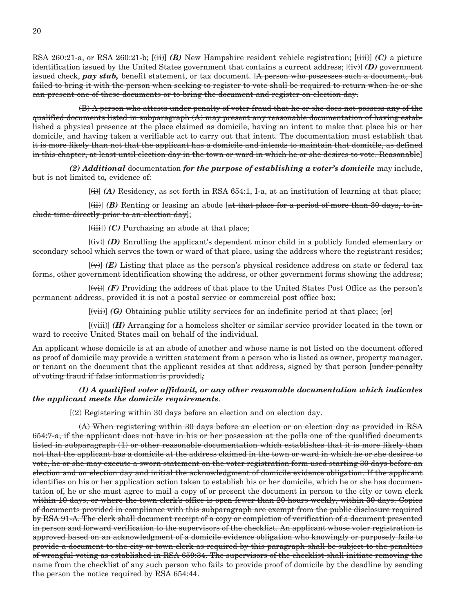RSA 260:21-a, or RSA 260:21-b; [(ii)] *(B)* New Hampshire resident vehicle registration; [(iii)] *(C)* a picture identification issued by the United States government that contains a current address;  $[\ddot{t}\ddot{v}]$  *(D)* government issued check, *pay stub*, benefit statement, or tax document. [A person who possesses such a document, but failed to bring it with the person when seeking to register to vote shall be required to return when he or she can present one of these documents or to bring the document and register on election day.

 (B) A person who attests under penalty of voter fraud that he or she does not possess any of the qualified documents listed in subparagraph  $(A)$  may present any reasonable documentation of having established a physical presence at the place claimed as domicile, having an intent to make that place his or her domicile, and having taken a verifiable act to carry out that intent. The documentation must establish that it is more likely than not that the applicant has a domicile and intends to maintain that domicile, as defined in this chapter, at least until election day in the town or ward in which he or she desires to vote. Reasonable]

 *(2) Additional* documentation *for the purpose of establishing a voter's domicile* may include, but is not limited to*,* evidence of:

[(i)] *(A)* Residency, as set forth in RSA 654:1, I-a, at an institution of learning at that place;

[(ii)] (B) Renting or leasing an abode [at that place for a period of more than 30 days, to include time directly prior to an election day];

 $[\left(\frac{iii}{ii}\right)]$  *(C)* Purchasing an abode at that place;

 [(iv)] *(D)* Enrolling the applicant's dependent minor child in a publicly funded elementary or secondary school which serves the town or ward of that place, using the address where the registrant resides;

 $[\forall \forall]$  (E) Listing that place as the person's physical residence address on state or federal tax forms, other government identification showing the address, or other government forms showing the address;

 $\left[\left(\overrightarrow{v}\right)\right]$  *(F)* Providing the address of that place to the United States Post Office as the person's permanent address, provided it is not a postal service or commercial post office box;

 $[\overline{viii}]$  *(G)* Obtaining public utility services for an indefinite period at that place;  $[\overline{or}]$ 

 [(viii)] *(H)* Arranging for a homeless shelter or similar service provider located in the town or ward to receive United States mail on behalf of the individual.

An applicant whose domicile is at an abode of another and whose name is not listed on the document offered as proof of domicile may provide a written statement from a person who is listed as owner, property manager, or tenant on the document that the applicant resides at that address, signed by that person [under penalty of voting fraud if false information is provided]*;*

## *(I) A qualified voter affidavit, or any other reasonable documentation which indicates the applicant meets the domicile requirements*.

[(2) Registering within 30 days before an election and on election day.

 (A) When registering within 30 days before an election or on election day as provided in RSA 654:7-a, if the applicant does not have in his or her possession at the polls one of the qualified documents listed in subparagraph (1) or other reasonable documentation which establishes that it is more likely than not that the applicant has a domicile at the address claimed in the town or ward in which he or she desires to vote, he or she may execute a sworn statement on the voter registration form used starting 30 days before an election and on election day and initial the acknowledgment of domicile evidence obligation. If the applicant identifies on his or her application action taken to establish his or her domicile, which he or she has documentation of, he or she must agree to mail a copy of or present the document in person to the city or town clerk within 10 days, or where the town clerk's office is open fewer than 20 hours weekly, within 30 days. Copies of documents provided in compliance with this subparagraph are exempt from the public disclosure required by RSA 91-A. The clerk shall document receipt of a copy or completion of verification of a document presented in person and forward verification to the supervisors of the checklist. An applicant whose voter registration is approved based on an acknowledgment of a domicile evidence obligation who knowingly or purposely fails to provide a document to the city or town clerk as required by this paragraph shall be subject to the penalties of wrongful voting as established in RSA 659:34. The supervisors of the checklist shall initiate removing the name from the checklist of any such person who fails to provide proof of domicile by the deadline by sending the person the notice required by RSA 654:44.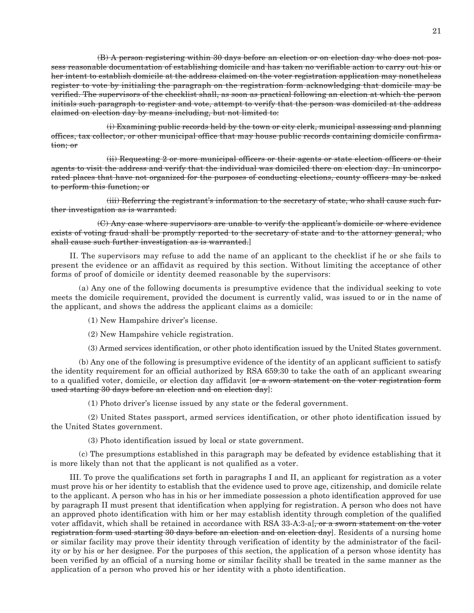(B) A person registering within 30 days before an election or on election day who does not possess reasonable documentation of establishing domicile and has taken no verifiable action to carry out his or her intent to establish domicile at the address claimed on the voter registration application may nonetheless register to vote by initialing the paragraph on the registration form acknowledging that domicile may be verified. The supervisors of the checklist shall, as soon as practical following an election at which the person initials such paragraph to register and vote, attempt to verify that the person was domiciled at the address claimed on election day by means including, but not limited to:

 (i) Examining public records held by the town or city clerk, municipal assessing and planning offices, tax collector, or other municipal office that may house public records containing domicile confirmation; or

 (ii) Requesting 2 or more municipal officers or their agents or state election officers or their agents to visit the address and verify that the individual was domiciled there on election day. In unincorporated places that have not organized for the purposes of conducting elections, county officers may be asked to perform this function; or

 (iii) Referring the registrant's information to the secretary of state, who shall cause such further investigation as is warranted.

 (C) Any case where supervisors are unable to verify the applicant's domicile or where evidence exists of voting fraud shall be promptly reported to the secretary of state and to the attorney general, who shall cause such further investigation as is warranted.]

 II. The supervisors may refuse to add the name of an applicant to the checklist if he or she fails to present the evidence or an affidavit as required by this section. Without limiting the acceptance of other forms of proof of domicile or identity deemed reasonable by the supervisors:

 (a) Any one of the following documents is presumptive evidence that the individual seeking to vote meets the domicile requirement, provided the document is currently valid, was issued to or in the name of the applicant, and shows the address the applicant claims as a domicile:

(1) New Hampshire driver's license.

(2) New Hampshire vehicle registration.

(3) Armed services identification, or other photo identification issued by the United States government.

 (b) Any one of the following is presumptive evidence of the identity of an applicant sufficient to satisfy the identity requirement for an official authorized by RSA 659:30 to take the oath of an applicant swearing to a qualified voter, domicile, or election day affidavit [or a sworn statement on the voter registration form used starting 30 days before an election and on election day]:

(1) Photo driver's license issued by any state or the federal government.

 (2) United States passport, armed services identification, or other photo identification issued by the United States government.

(3) Photo identification issued by local or state government.

 (c) The presumptions established in this paragraph may be defeated by evidence establishing that it is more likely than not that the applicant is not qualified as a voter.

 III. To prove the qualifications set forth in paragraphs I and II, an applicant for registration as a voter must prove his or her identity to establish that the evidence used to prove age, citizenship, and domicile relate to the applicant. A person who has in his or her immediate possession a photo identification approved for use by paragraph II must present that identification when applying for registration. A person who does not have an approved photo identification with him or her may establish identity through completion of the qualified voter affidavit, which shall be retained in accordance with RSA 33-A:3-a[, or a sworn statement on the voter registration form used starting 30 days before an election and on election day]. Residents of a nursing home or similar facility may prove their identity through verification of identity by the administrator of the facility or by his or her designee. For the purposes of this section, the application of a person whose identity has been verified by an official of a nursing home or similar facility shall be treated in the same manner as the application of a person who proved his or her identity with a photo identification.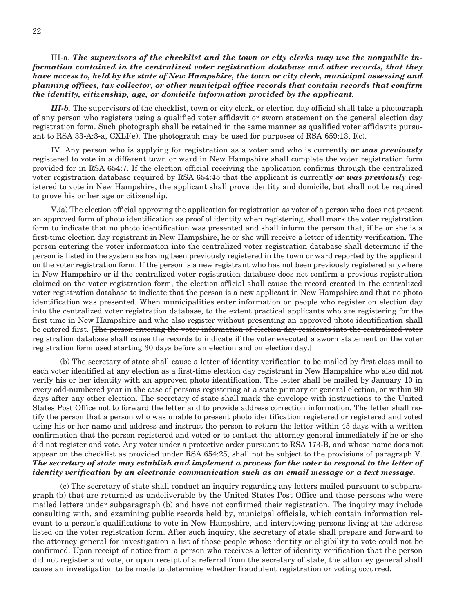## III-a. *The supervisors of the checklist and the town or city clerks may use the nonpublic information contained in the centralized voter registration database and other records, that they have access to, held by the state of New Hampshire, the town or city clerk, municipal assessing and planning offices, tax collector, or other municipal office records that contain records that confirm the identity, citizenship, age, or domicile information provided by the applicant.*

 *III-b.* The supervisors of the checklist, town or city clerk, or election day official shall take a photograph of any person who registers using a qualified voter affidavit or sworn statement on the general election day registration form. Such photograph shall be retained in the same manner as qualified voter affidavits pursuant to RSA 33-A:3-a,  $\text{CKLI}(e)$ . The photograph may be used for purposes of RSA 659:13, I(c).

 IV. Any person who is applying for registration as a voter and who is currently *or was previously*  registered to vote in a different town or ward in New Hampshire shall complete the voter registration form provided for in RSA 654:7. If the election official receiving the application confirms through the centralized voter registration database required by RSA 654:45 that the applicant is currently *or was previously* registered to vote in New Hampshire, the applicant shall prove identity and domicile, but shall not be required to prove his or her age or citizenship.

 V.(a) The election official approving the application for registration as voter of a person who does not present an approved form of photo identification as proof of identity when registering, shall mark the voter registration form to indicate that no photo identification was presented and shall inform the person that, if he or she is a first-time election day registrant in New Hampshire, he or she will receive a letter of identity verification. The person entering the voter information into the centralized voter registration database shall determine if the person is listed in the system as having been previously registered in the town or ward reported by the applicant on the voter registration form. If the person is a new registrant who has not been previously registered anywhere in New Hampshire or if the centralized voter registration database does not confirm a previous registration claimed on the voter registration form, the election official shall cause the record created in the centralized voter registration database to indicate that the person is a new applicant in New Hampshire and that no photo identification was presented. When municipalities enter information on people who register on election day into the centralized voter registration database, to the extent practical applicants who are registering for the first time in New Hampshire and who also register without presenting an approved photo identification shall be entered first. [The person entering the voter information of election day residents into the centralized voter registration database shall cause the records to indicate if the voter executed a sworn statement on the voter registration form used starting 30 days before an election and on election day.]

 (b) The secretary of state shall cause a letter of identity verification to be mailed by first class mail to each voter identified at any election as a first-time election day registrant in New Hampshire who also did not verify his or her identity with an approved photo identification. The letter shall be mailed by January 10 in every odd-numbered year in the case of persons registering at a state primary or general election, or within 90 days after any other election. The secretary of state shall mark the envelope with instructions to the United States Post Office not to forward the letter and to provide address correction information. The letter shall notify the person that a person who was unable to present photo identification registered or registered and voted using his or her name and address and instruct the person to return the letter within 45 days with a written confirmation that the person registered and voted or to contact the attorney general immediately if he or she did not register and vote. Any voter under a protective order pursuant to RSA 173-B, and whose name does not appear on the checklist as provided under RSA 654:25, shall not be subject to the provisions of paragraph V. *The secretary of state may establish and implement a process for the voter to respond to the letter of identity verification by an electronic communication such as an email message or a text message.*

 (c) The secretary of state shall conduct an inquiry regarding any letters mailed pursuant to subparagraph (b) that are returned as undeliverable by the United States Post Office and those persons who were mailed letters under subparagraph (b) and have not confirmed their registration. The inquiry may include consulting with, and examining public records held by, municipal officials, which contain information relevant to a person's qualifications to vote in New Hampshire, and interviewing persons living at the address listed on the voter registration form. After such inquiry, the secretary of state shall prepare and forward to the attorney general for investigation a list of those people whose identity or eligibility to vote could not be confirmed. Upon receipt of notice from a person who receives a letter of identity verification that the person did not register and vote, or upon receipt of a referral from the secretary of state, the attorney general shall cause an investigation to be made to determine whether fraudulent registration or voting occurred.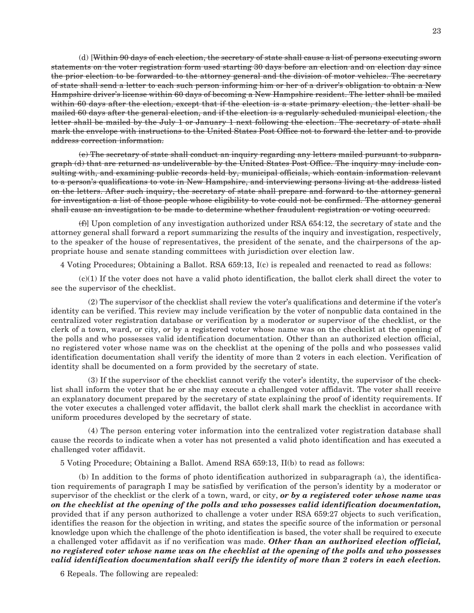(d) [Within 90 days of each election, the secretary of state shall cause a list of persons executing sworn statements on the voter registration form used starting 30 days before an election and on election day since the prior election to be forwarded to the attorney general and the division of motor vehicles. The secretary of state shall send a letter to each such person informing him or her of a driver's obligation to obtain a New Hampshire driver's license within 60 days of becoming a New Hampshire resident. The letter shall be mailed within 60 days after the election, except that if the election is a state primary election, the letter shall be mailed 60 days after the general election, and if the election is a regularly scheduled municipal election, the letter shall be mailed by the July 1 or January 1 next following the election. The secretary of state shall mark the envelope with instructions to the United States Post Office not to forward the letter and to provide address correction information.

 (e) The secretary of state shall conduct an inquiry regarding any letters mailed pursuant to subparagraph (d) that are returned as undeliverable by the United States Post Office. The inquiry may include consulting with, and examining public records held by, municipal officials, which contain information relevant to a person's qualifications to vote in New Hampshire, and interviewing persons living at the address listed on the letters. After such inquiry, the secretary of state shall prepare and forward to the attorney general for investigation a list of those people whose eligibility to vote could not be confirmed. The attorney general shall cause an investigation to be made to determine whether fraudulent registration or voting occurred.

 $(f)$  Upon completion of any investigation authorized under RSA 654:12, the secretary of state and the attorney general shall forward a report summarizing the results of the inquiry and investigation, respectively, to the speaker of the house of representatives, the president of the senate, and the chairpersons of the appropriate house and senate standing committees with jurisdiction over election law.

4 Voting Procedures; Obtaining a Ballot. RSA 659:13, I(c) is repealed and reenacted to read as follows:

 $(c)(1)$  If the voter does not have a valid photo identification, the ballot clerk shall direct the voter to see the supervisor of the checklist.

 (2) The supervisor of the checklist shall review the voter's qualifications and determine if the voter's identity can be verified. This review may include verification by the voter of nonpublic data contained in the centralized voter registration database or verification by a moderator or supervisor of the checklist, or the clerk of a town, ward, or city, or by a registered voter whose name was on the checklist at the opening of the polls and who possesses valid identification documentation. Other than an authorized election official, no registered voter whose name was on the checklist at the opening of the polls and who possesses valid identification documentation shall verify the identity of more than 2 voters in each election. Verification of identity shall be documented on a form provided by the secretary of state.

 (3) If the supervisor of the checklist cannot verify the voter's identity, the supervisor of the checklist shall inform the voter that he or she may execute a challenged voter affidavit. The voter shall receive an explanatory document prepared by the secretary of state explaining the proof of identity requirements. If the voter executes a challenged voter affidavit, the ballot clerk shall mark the checklist in accordance with uniform procedures developed by the secretary of state.

 (4) The person entering voter information into the centralized voter registration database shall cause the records to indicate when a voter has not presented a valid photo identification and has executed a challenged voter affidavit.

5 Voting Procedure; Obtaining a Ballot. Amend RSA 659:13, II(b) to read as follows:

 (b) In addition to the forms of photo identification authorized in subparagraph (a), the identification requirements of paragraph I may be satisfied by verification of the person's identity by a moderator or supervisor of the checklist or the clerk of a town, ward, or city, *or by a registered voter whose name was on the checklist at the opening of the polls and who possesses valid identification documentation,*  provided that if any person authorized to challenge a voter under RSA 659:27 objects to such verification, identifies the reason for the objection in writing, and states the specific source of the information or personal knowledge upon which the challenge of the photo identification is based, the voter shall be required to execute a challenged voter affidavit as if no verification was made. *Other than an authorized election official, no registered voter whose name was on the checklist at the opening of the polls and who possesses valid identification documentation shall verify the identity of more than 2 voters in each election.*

6 Repeals. The following are repealed: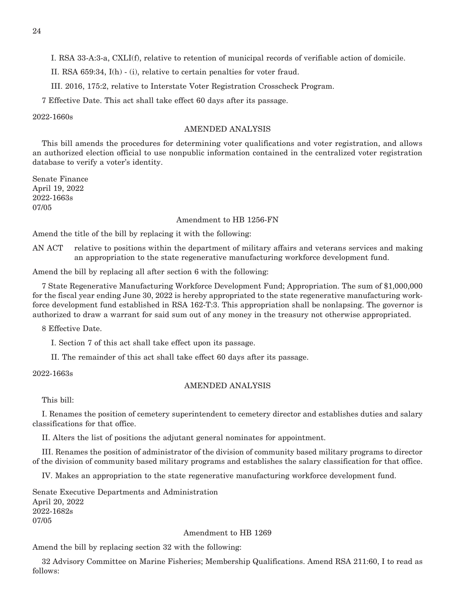I. RSA 33-A:3-a, CXLI(f), relative to retention of municipal records of verifiable action of domicile.

II. RSA 659:34, I(h) - (i), relative to certain penalties for voter fraud.

III. 2016, 175:2, relative to Interstate Voter Registration Crosscheck Program.

7 Effective Date. This act shall take effect 60 days after its passage.

## 2022-1660s

## AMENDED ANALYSIS

This bill amends the procedures for determining voter qualifications and voter registration, and allows an authorized election official to use nonpublic information contained in the centralized voter registration database to verify a voter's identity.

Senate Finance April 19, 2022 2022-1663s 07/05

## Amendment to HB 1256-FN

Amend the title of the bill by replacing it with the following:

AN ACT relative to positions within the department of military affairs and veterans services and making an appropriation to the state regenerative manufacturing workforce development fund.

Amend the bill by replacing all after section 6 with the following:

7 State Regenerative Manufacturing Workforce Development Fund; Appropriation. The sum of \$1,000,000 for the fiscal year ending June 30, 2022 is hereby appropriated to the state regenerative manufacturing workforce development fund established in RSA 162-T:3. This appropriation shall be nonlapsing. The governor is authorized to draw a warrant for said sum out of any money in the treasury not otherwise appropriated.

8 Effective Date.

I. Section 7 of this act shall take effect upon its passage.

II. The remainder of this act shall take effect 60 days after its passage.

2022-1663s

## AMENDED ANALYSIS

This bill:

I. Renames the position of cemetery superintendent to cemetery director and establishes duties and salary classifications for that office.

II. Alters the list of positions the adjutant general nominates for appointment.

III. Renames the position of administrator of the division of community based military programs to director of the division of community based military programs and establishes the salary classification for that office.

IV. Makes an appropriation to the state regenerative manufacturing workforce development fund.

Senate Executive Departments and Administration April 20, 2022 2022-1682s 07/05

Amendment to HB 1269

Amend the bill by replacing section 32 with the following:

32 Advisory Committee on Marine Fisheries; Membership Qualifications. Amend RSA 211:60, I to read as follows: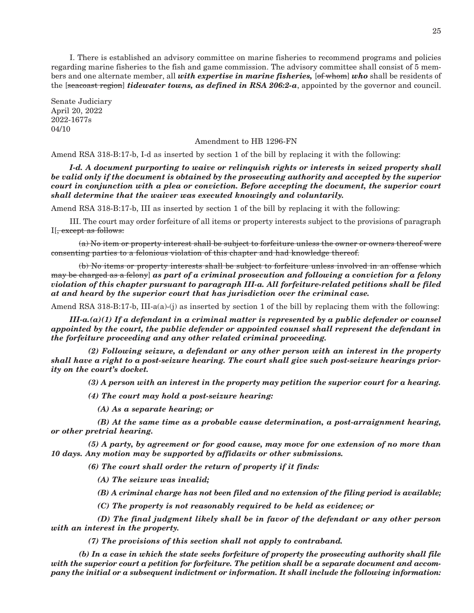I. There is established an advisory committee on marine fisheries to recommend programs and policies regarding marine fisheries to the fish and game commission. The advisory committee shall consist of 5 members and one alternate member, all *with expertise in marine fisheries,* [of whom] *who* shall be residents of the [seacoast region] *tidewater towns, as defined in RSA 206:2-a*, appointed by the governor and council.

Senate Judiciary April 20, 2022 2022-1677s 04/10

#### Amendment to HB 1296-FN

Amend RSA 318-B:17-b, I-d as inserted by section 1 of the bill by replacing it with the following:

 *I-d. A document purporting to waive or relinquish rights or interests in seized property shall be valid only if the document is obtained by the prosecuting authority and accepted by the superior court in conjunction with a plea or conviction. Before accepting the document, the superior court shall determine that the waiver was executed knowingly and voluntarily.*

Amend RSA 318-B:17-b, III as inserted by section 1 of the bill by replacing it with the following:

 III. The court may order forfeiture of all items or property interests subject to the provisions of paragraph I[, except as follows:

 (a) No item or property interest shall be subject to forfeiture unless the owner or owners thereof were consenting parties to a felonious violation of this chapter and had knowledge thereof.

 (b) No items or property interests shall be subject to forfeiture unless involved in an offense which may be charged as a felony] *as part of a criminal prosecution and following a conviction for a felony violation of this chapter pursuant to paragraph III-a. All forfeiture-related petitions shall be filed at and heard by the superior court that has jurisdiction over the criminal case.*

Amend RSA 318-B:17-b, III-a(a)-(j) as inserted by section 1 of the bill by replacing them with the following:

 *III-a.(a)(1) If a defendant in a criminal matter is represented by a public defender or counsel appointed by the court, the public defender or appointed counsel shall represent the defendant in the forfeiture proceeding and any other related criminal proceeding.*

 *(2) Following seizure, a defendant or any other person with an interest in the property shall have a right to a post-seizure hearing. The court shall give such post-seizure hearings priority on the court's docket.*

 *(3) A person with an interest in the property may petition the superior court for a hearing.*

 *(4) The court may hold a post-seizure hearing:*

 *(A) As a separate hearing; or*

 *(B) At the same time as a probable cause determination, a post-arraignment hearing, or other pretrial hearing.*

 *(5) A party, by agreement or for good cause, may move for one extension of no more than 10 days. Any motion may be supported by affidavits or other submissions.*

 *(6) The court shall order the return of property if it finds:*

 *(A) The seizure was invalid;*

 *(B) A criminal charge has not been filed and no extension of the filing period is available;*

 *(C) The property is not reasonably required to be held as evidence; or*

 *(D) The final judgment likely shall be in favor of the defendant or any other person with an interest in the property.*

 *(7) The provisions of this section shall not apply to contraband.*

 *(b) In a case in which the state seeks forfeiture of property the prosecuting authority shall file with the superior court a petition for forfeiture. The petition shall be a separate document and accompany the initial or a subsequent indictment or information. It shall include the following information:*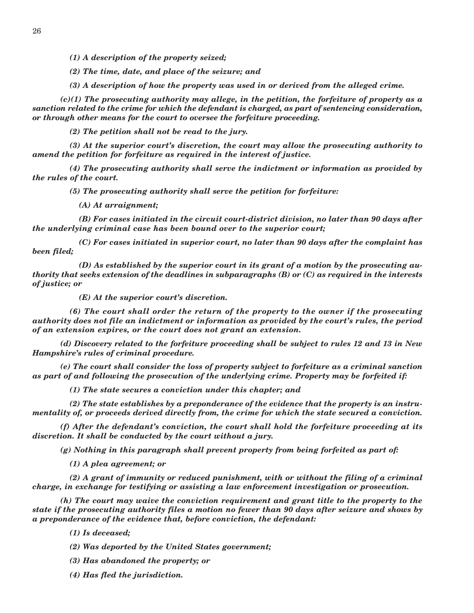*(1) A description of the property seized;*

 *(2) The time, date, and place of the seizure; and*

 *(3) A description of how the property was used in or derived from the alleged crime.*

 *(c)(1) The prosecuting authority may allege, in the petition, the forfeiture of property as a sanction related to the crime for which the defendant is charged, as part of sentencing consideration, or through other means for the court to oversee the forfeiture proceeding.*

 *(2) The petition shall not be read to the jury.*

 *(3) At the superior court's discretion, the court may allow the prosecuting authority to amend the petition for forfeiture as required in the interest of justice.*

 *(4) The prosecuting authority shall serve the indictment or information as provided by the rules of the court.*

 *(5) The prosecuting authority shall serve the petition for forfeiture:*

 *(A) At arraignment;*

 *(B) For cases initiated in the circuit court-district division, no later than 90 days after the underlying criminal case has been bound over to the superior court;*

 *(C) For cases initiated in superior court, no later than 90 days after the complaint has been filed;*

 *(D) As established by the superior court in its grant of a motion by the prosecuting authority that seeks extension of the deadlines in subparagraphs (B) or (C) as required in the interests of justice; or*

 *(E) At the superior court's discretion.*

 *(6) The court shall order the return of the property to the owner if the prosecuting authority does not file an indictment or information as provided by the court's rules, the period of an extension expires, or the court does not grant an extension.*

 *(d) Discovery related to the forfeiture proceeding shall be subject to rules 12 and 13 in New Hampshire's rules of criminal procedure.*

 *(e) The court shall consider the loss of property subject to forfeiture as a criminal sanction as part of and following the prosecution of the underlying crime. Property may be forfeited if:*

 *(1) The state secures a conviction under this chapter; and*

 *(2) The state establishes by a preponderance of the evidence that the property is an instrumentality of, or proceeds derived directly from, the crime for which the state secured a conviction.*

 *(f) After the defendant's conviction, the court shall hold the forfeiture proceeding at its discretion. It shall be conducted by the court without a jury.*

 *(g) Nothing in this paragraph shall prevent property from being forfeited as part of:*

 *(1) A plea agreement; or*

 *(2) A grant of immunity or reduced punishment, with or without the filing of a criminal charge, in exchange for testifying or assisting a law enforcement investigation or prosecution.*

 *(h) The court may waive the conviction requirement and grant title to the property to the state if the prosecuting authority files a motion no fewer than 90 days after seizure and shows by a preponderance of the evidence that, before conviction, the defendant:*

 *(1) Is deceased;*

 *(2) Was deported by the United States government;*

 *(3) Has abandoned the property; or*

 *(4) Has fled the jurisdiction.*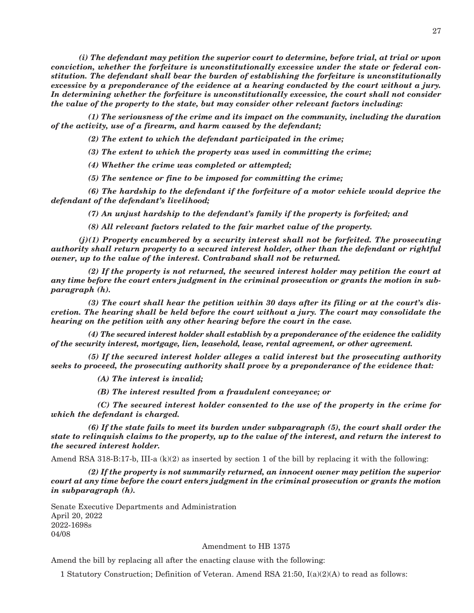*(i) The defendant may petition the superior court to determine, before trial, at trial or upon conviction, whether the forfeiture is unconstitutionally excessive under the state or federal constitution. The defendant shall bear the burden of establishing the forfeiture is unconstitutionally excessive by a preponderance of the evidence at a hearing conducted by the court without a jury. In determining whether the forfeiture is unconstitutionally excessive, the court shall not consider the value of the property to the state, but may consider other relevant factors including:*

 *(1) The seriousness of the crime and its impact on the community, including the duration of the activity, use of a firearm, and harm caused by the defendant;*

 *(2) The extent to which the defendant participated in the crime;*

 *(3) The extent to which the property was used in committing the crime;*

 *(4) Whether the crime was completed or attempted;*

 *(5) The sentence or fine to be imposed for committing the crime;*

 *(6) The hardship to the defendant if the forfeiture of a motor vehicle would deprive the defendant of the defendant's livelihood;*

 *(7) An unjust hardship to the defendant's family if the property is forfeited; and*

 *(8) All relevant factors related to the fair market value of the property.*

 *(j)(1) Property encumbered by a security interest shall not be forfeited. The prosecuting authority shall return property to a secured interest holder, other than the defendant or rightful owner, up to the value of the interest. Contraband shall not be returned.*

 *(2) If the property is not returned, the secured interest holder may petition the court at any time before the court enters judgment in the criminal prosecution or grants the motion in subparagraph (h).*

 *(3) The court shall hear the petition within 30 days after its filing or at the court's discretion. The hearing shall be held before the court without a jury. The court may consolidate the hearing on the petition with any other hearing before the court in the case.*

 *(4) The secured interest holder shall establish by a preponderance of the evidence the validity of the security interest, mortgage, lien, leasehold, lease, rental agreement, or other agreement.*

 *(5) If the secured interest holder alleges a valid interest but the prosecuting authority seeks to proceed, the prosecuting authority shall prove by a preponderance of the evidence that:*

 *(A) The interest is invalid;*

 *(B) The interest resulted from a fraudulent conveyance; or*

 *(C) The secured interest holder consented to the use of the property in the crime for which the defendant is charged.*

 *(6) If the state fails to meet its burden under subparagraph (5), the court shall order the state to relinquish claims to the property, up to the value of the interest, and return the interest to the secured interest holder.*

Amend RSA 318-B:17-b, III-a  $(k)(2)$  as inserted by section 1 of the bill by replacing it with the following:

 *(2) If the property is not summarily returned, an innocent owner may petition the superior court at any time before the court enters judgment in the criminal prosecution or grants the motion in subparagraph (h).*

Senate Executive Departments and Administration April 20, 2022 2022-1698s 04/08

#### Amendment to HB 1375

Amend the bill by replacing all after the enacting clause with the following:

1 Statutory Construction; Definition of Veteran. Amend RSA 21:50, I(a)(2)(A) to read as follows: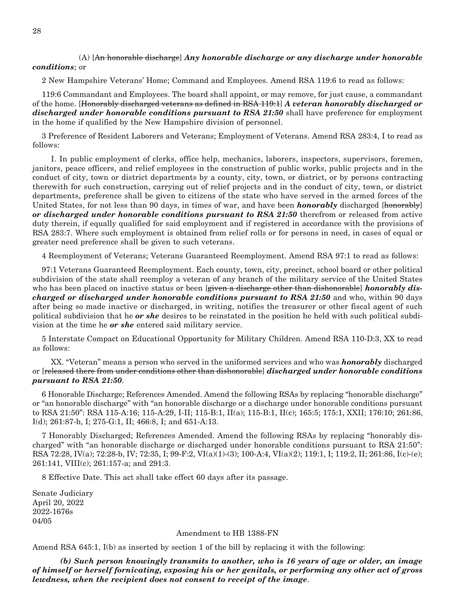## (A) [An honorable discharge] *Any honorable discharge or any discharge under honorable conditions*; or

2 New Hampshire Veterans' Home; Command and Employees. Amend RSA 119:6 to read as follows:

119:6 Commandant and Employees. The board shall appoint, or may remove, for just cause, a commandant of the home. [Honorably discharged veterans as defined in RSA 119:1] *A veteran honorably discharged or discharged under honorable conditions pursuant to RSA 21:50* shall have preference for employment in the home if qualified by the New Hampshire division of personnel.

3 Preference of Resident Laborers and Veterans; Employment of Veterans. Amend RSA 283:4, I to read as follows:

 I. In public employment of clerks, office help, mechanics, laborers, inspectors, supervisors, foremen, janitors, peace officers, and relief employees in the construction of public works, public projects and in the conduct of city, town or district departments by a county, city, town, or district, or by persons contracting therewith for such construction, carrying out of relief projects and in the conduct of city, town, or district departments, preference shall be given to citizens of the state who have served in the armed forces of the United States, for not less than 90 days, in times of war, and have been *honorably* discharged [honorably] *or discharged under honorable conditions pursuant to RSA 21:50* therefrom or released from active duty therein, if equally qualified for said employment and if registered in accordance with the provisions of RSA 283:7. Where such employment is obtained from relief rolls or for persons in need, in cases of equal or greater need preference shall be given to such veterans.

4 Reemployment of Veterans; Veterans Guaranteed Reemployment. Amend RSA 97:1 to read as follows:

97:1 Veterans Guaranteed Reemployment. Each county, town, city, precinct, school board or other political subdivision of the state shall reemploy a veteran of any branch of the military service of the United States who has been placed on inactive status or been [given a discharge other than dishonorable] *honorably discharged or discharged under honorable conditions pursuant to RSA 21:50* and who, within 90 days after being so made inactive or discharged, in writing, notifies the treasurer or other fiscal agent of such political subdivision that he *or she* desires to be reinstated in the position he held with such political subdivision at the time he *or she* entered said military service.

5 Interstate Compact on Educational Opportunity for Military Children. Amend RSA 110-D:3, XX to read as follows:

 XX. "Veteran" means a person who served in the uniformed services and who was *honorably* discharged or [released there from under conditions other than dishonorable] *discharged under honorable conditions pursuant to RSA 21:50*.

6 Honorable Discharge; References Amended. Amend the following RSAs by replacing "honorable discharge" or "an honorable discharge" with "an honorable discharge or a discharge under honorable conditions pursuant to RSA 21:50": RSA 115-A:16; 115-A:29, I-II; 115-B:1, II(a); 115-B:1, II(c); 165:5; 175:1, XXII; 176:10; 261:86, I(d); 261:87-b, I; 275-G:1, II; 466:8, I; and 651-A:13.

7 Honorably Discharged; References Amended. Amend the following RSAs by replacing "honorably discharged" with "an honorable discharge or discharged under honorable conditions pursuant to RSA 21:50": RSA 72:28, IV(a); 72:28-b, IV; 72:35, I; 99-F:2, VI(a)(1)-(3); 100-A:4, VI(a)(2); 119:1, I; 119:2, II; 261:86, I(c)-(e); 261:141, VIII(c); 261:157-a; and 291:3.

8 Effective Date. This act shall take effect 60 days after its passage.

Senate Judiciary April 20, 2022 2022-1676s 04/05

### Amendment to HB 1388-FN

Amend RSA 645:1, I(b) as inserted by section 1 of the bill by replacing it with the following:

 *(b) Such person knowingly transmits to another, who is 16 years of age or older, an image of himself or herself fornicating, exposing his or her genitals, or performing any other act of gross lewdness, when the recipient does not consent to receipt of the image*.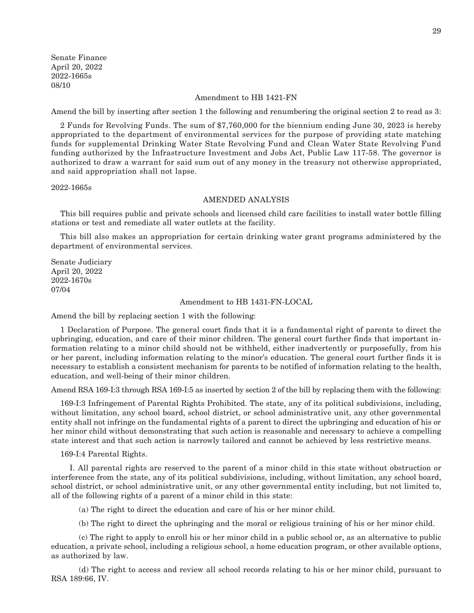Senate Finance April 20, 2022 2022-1665s 08/10

## Amendment to HB 1421-FN

Amend the bill by inserting after section 1 the following and renumbering the original section 2 to read as 3:

2 Funds for Revolving Funds. The sum of \$7,760,000 for the biennium ending June 30, 2023 is hereby appropriated to the department of environmental services for the purpose of providing state matching funds for supplemental Drinking Water State Revolving Fund and Clean Water State Revolving Fund funding authorized by the Infrastructure Investment and Jobs Act, Public Law 117-58. The governor is authorized to draw a warrant for said sum out of any money in the treasury not otherwise appropriated, and said appropriation shall not lapse.

2022-1665s

## AMENDED ANALYSIS

This bill requires public and private schools and licensed child care facilities to install water bottle filling stations or test and remediate all water outlets at the facility.

This bill also makes an appropriation for certain drinking water grant programs administered by the department of environmental services.

Senate Judiciary April 20, 2022 2022-1670s 07/04

#### Amendment to HB 1431-FN-LOCAL

Amend the bill by replacing section 1 with the following:

1 Declaration of Purpose. The general court finds that it is a fundamental right of parents to direct the upbringing, education, and care of their minor children. The general court further finds that important information relating to a minor child should not be withheld, either inadvertently or purposefully, from his or her parent, including information relating to the minor's education. The general court further finds it is necessary to establish a consistent mechanism for parents to be notified of information relating to the health, education, and well-being of their minor children.

Amend RSA 169-I:3 through RSA 169-I:5 as inserted by section 2 of the bill by replacing them with the following:

169-I:3 Infringement of Parental Rights Prohibited. The state, any of its political subdivisions, including, without limitation, any school board, school district, or school administrative unit, any other governmental entity shall not infringe on the fundamental rights of a parent to direct the upbringing and education of his or her minor child without demonstrating that such action is reasonable and necessary to achieve a compelling state interest and that such action is narrowly tailored and cannot be achieved by less restrictive means.

169-I:4 Parental Rights.

 I. All parental rights are reserved to the parent of a minor child in this state without obstruction or interference from the state, any of its political subdivisions, including, without limitation, any school board, school district, or school administrative unit, or any other governmental entity including, but not limited to, all of the following rights of a parent of a minor child in this state:

(a) The right to direct the education and care of his or her minor child.

(b) The right to direct the upbringing and the moral or religious training of his or her minor child.

 (c) The right to apply to enroll his or her minor child in a public school or, as an alternative to public education, a private school, including a religious school, a home education program, or other available options, as authorized by law.

 (d) The right to access and review all school records relating to his or her minor child, pursuant to RSA 189:66, IV.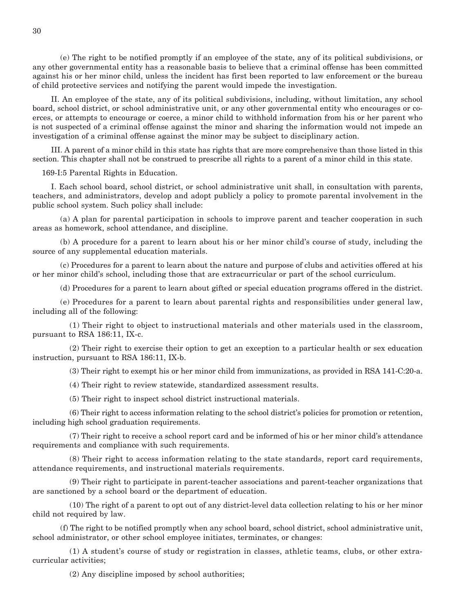(e) The right to be notified promptly if an employee of the state, any of its political subdivisions, or any other governmental entity has a reasonable basis to believe that a criminal offense has been committed against his or her minor child, unless the incident has first been reported to law enforcement or the bureau of child protective services and notifying the parent would impede the investigation.

 II. An employee of the state, any of its political subdivisions, including, without limitation, any school board, school district, or school administrative unit, or any other governmental entity who encourages or coerces, or attempts to encourage or coerce, a minor child to withhold information from his or her parent who is not suspected of a criminal offense against the minor and sharing the information would not impede an investigation of a criminal offense against the minor may be subject to disciplinary action.

 III. A parent of a minor child in this state has rights that are more comprehensive than those listed in this section. This chapter shall not be construed to prescribe all rights to a parent of a minor child in this state.

169-I:5 Parental Rights in Education.

 I. Each school board, school district, or school administrative unit shall, in consultation with parents, teachers, and administrators, develop and adopt publicly a policy to promote parental involvement in the public school system. Such policy shall include:

 (a) A plan for parental participation in schools to improve parent and teacher cooperation in such areas as homework, school attendance, and discipline.

 (b) A procedure for a parent to learn about his or her minor child's course of study, including the source of any supplemental education materials.

 (c) Procedures for a parent to learn about the nature and purpose of clubs and activities offered at his or her minor child's school, including those that are extracurricular or part of the school curriculum.

(d) Procedures for a parent to learn about gifted or special education programs offered in the district.

 (e) Procedures for a parent to learn about parental rights and responsibilities under general law, including all of the following:

 (1) Their right to object to instructional materials and other materials used in the classroom, pursuant to RSA 186:11, IX-c.

 (2) Their right to exercise their option to get an exception to a particular health or sex education instruction, pursuant to RSA 186:11, IX-b.

(3) Their right to exempt his or her minor child from immunizations, as provided in RSA 141-C:20-a.

(4) Their right to review statewide, standardized assessment results.

(5) Their right to inspect school district instructional materials.

 (6) Their right to access information relating to the school district's policies for promotion or retention, including high school graduation requirements.

 (7) Their right to receive a school report card and be informed of his or her minor child's attendance requirements and compliance with such requirements.

 (8) Their right to access information relating to the state standards, report card requirements, attendance requirements, and instructional materials requirements.

 (9) Their right to participate in parent-teacher associations and parent-teacher organizations that are sanctioned by a school board or the department of education.

 (10) The right of a parent to opt out of any district-level data collection relating to his or her minor child not required by law.

 (f) The right to be notified promptly when any school board, school district, school administrative unit, school administrator, or other school employee initiates, terminates, or changes:

 (1) A student's course of study or registration in classes, athletic teams, clubs, or other extracurricular activities;

(2) Any discipline imposed by school authorities;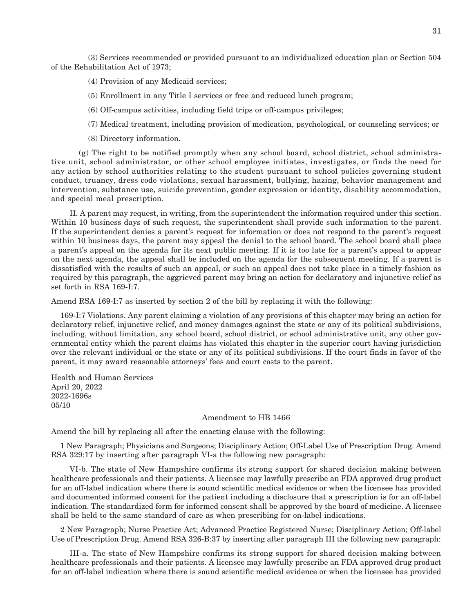(3) Services recommended or provided pursuant to an individualized education plan or Section 504 of the Rehabilitation Act of 1973;

(4) Provision of any Medicaid services;

(5) Enrollment in any Title I services or free and reduced lunch program;

(6) Off-campus activities, including field trips or off-campus privileges;

(7) Medical treatment, including provision of medication, psychological, or counseling services; or

(8) Directory information.

 (g) The right to be notified promptly when any school board, school district, school administrative unit, school administrator, or other school employee initiates, investigates, or finds the need for any action by school authorities relating to the student pursuant to school policies governing student conduct, truancy, dress code violations, sexual harassment, bullying, hazing, behavior management and intervention, substance use, suicide prevention, gender expression or identity, disability accommodation, and special meal prescription.

 II. A parent may request, in writing, from the superintendent the information required under this section. Within 10 business days of such request, the superintendent shall provide such information to the parent. If the superintendent denies a parent's request for information or does not respond to the parent's request within 10 business days, the parent may appeal the denial to the school board. The school board shall place a parent's appeal on the agenda for its next public meeting. If it is too late for a parent's appeal to appear on the next agenda, the appeal shall be included on the agenda for the subsequent meeting. If a parent is dissatisfied with the results of such an appeal, or such an appeal does not take place in a timely fashion as required by this paragraph, the aggrieved parent may bring an action for declaratory and injunctive relief as set forth in RSA 169-I:7.

Amend RSA 169-I:7 as inserted by section 2 of the bill by replacing it with the following:

169-I:7 Violations. Any parent claiming a violation of any provisions of this chapter may bring an action for declaratory relief, injunctive relief, and money damages against the state or any of its political subdivisions, including, without limitation, any school board, school district, or school administrative unit, any other governmental entity which the parent claims has violated this chapter in the superior court having jurisdiction over the relevant individual or the state or any of its political subdivisions. If the court finds in favor of the parent, it may award reasonable attorneys' fees and court costs to the parent.

Health and Human Services April 20, 2022 2022-1696s 05/10

### Amendment to HB 1466

Amend the bill by replacing all after the enacting clause with the following:

1 New Paragraph; Physicians and Surgeons; Disciplinary Action; Off-Label Use of Prescription Drug. Amend RSA 329:17 by inserting after paragraph VI-a the following new paragraph:

 VI-b. The state of New Hampshire confirms its strong support for shared decision making between healthcare professionals and their patients. A licensee may lawfully prescribe an FDA approved drug product for an off-label indication where there is sound scientific medical evidence or when the licensee has provided and documented informed consent for the patient including a disclosure that a prescription is for an off-label indication. The standardized form for informed consent shall be approved by the board of medicine. A licensee shall be held to the same standard of care as when prescribing for on-label indications.

2 New Paragraph; Nurse Practice Act; Advanced Practice Registered Nurse; Disciplinary Action; Off-label Use of Prescription Drug. Amend RSA 326-B:37 by inserting after paragraph III the following new paragraph:

 III-a. The state of New Hampshire confirms its strong support for shared decision making between healthcare professionals and their patients. A licensee may lawfully prescribe an FDA approved drug product for an off-label indication where there is sound scientific medical evidence or when the licensee has provided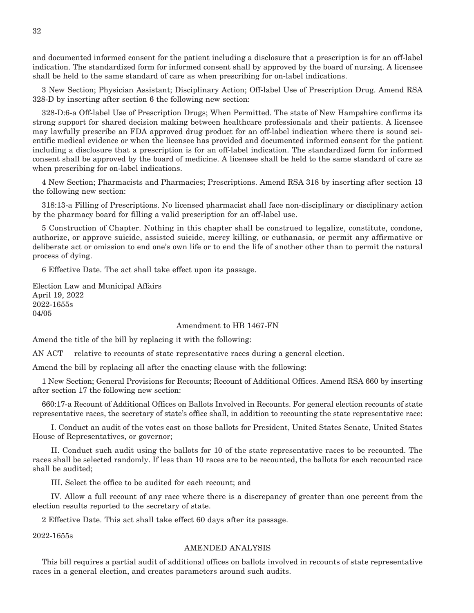and documented informed consent for the patient including a disclosure that a prescription is for an off-label indication. The standardized form for informed consent shall by approved by the board of nursing. A licensee shall be held to the same standard of care as when prescribing for on-label indications.

3 New Section; Physician Assistant; Disciplinary Action; Off-label Use of Prescription Drug. Amend RSA 328-D by inserting after section 6 the following new section:

328-D:6-a Off-label Use of Prescription Drugs; When Permitted. The state of New Hampshire confirms its strong support for shared decision making between healthcare professionals and their patients. A licensee may lawfully prescribe an FDA approved drug product for an off-label indication where there is sound scientific medical evidence or when the licensee has provided and documented informed consent for the patient including a disclosure that a prescription is for an off-label indication. The standardized form for informed consent shall be approved by the board of medicine. A licensee shall be held to the same standard of care as when prescribing for on-label indications.

4 New Section; Pharmacists and Pharmacies; Prescriptions. Amend RSA 318 by inserting after section 13 the following new section:

318:13-a Filling of Prescriptions. No licensed pharmacist shall face non-disciplinary or disciplinary action by the pharmacy board for filling a valid prescription for an off-label use.

5 Construction of Chapter. Nothing in this chapter shall be construed to legalize, constitute, condone, authorize, or approve suicide, assisted suicide, mercy killing, or euthanasia, or permit any affirmative or deliberate act or omission to end one's own life or to end the life of another other than to permit the natural process of dying.

6 Effective Date. The act shall take effect upon its passage.

Election Law and Municipal Affairs April 19, 2022 2022-1655s 04/05

#### Amendment to HB 1467-FN

Amend the title of the bill by replacing it with the following:

AN ACT relative to recounts of state representative races during a general election.

Amend the bill by replacing all after the enacting clause with the following:

1 New Section; General Provisions for Recounts; Recount of Additional Offices. Amend RSA 660 by inserting after section 17 the following new section:

660:17-a Recount of Additional Offices on Ballots Involved in Recounts. For general election recounts of state representative races, the secretary of state's office shall, in addition to recounting the state representative race:

 I. Conduct an audit of the votes cast on those ballots for President, United States Senate, United States House of Representatives, or governor;

 II. Conduct such audit using the ballots for 10 of the state representative races to be recounted. The races shall be selected randomly. If less than 10 races are to be recounted, the ballots for each recounted race shall be audited;

III. Select the office to be audited for each recount; and

 IV. Allow a full recount of any race where there is a discrepancy of greater than one percent from the election results reported to the secretary of state.

2 Effective Date. This act shall take effect 60 days after its passage.

2022-1655s

#### AMENDED ANALYSIS

This bill requires a partial audit of additional offices on ballots involved in recounts of state representative races in a general election, and creates parameters around such audits.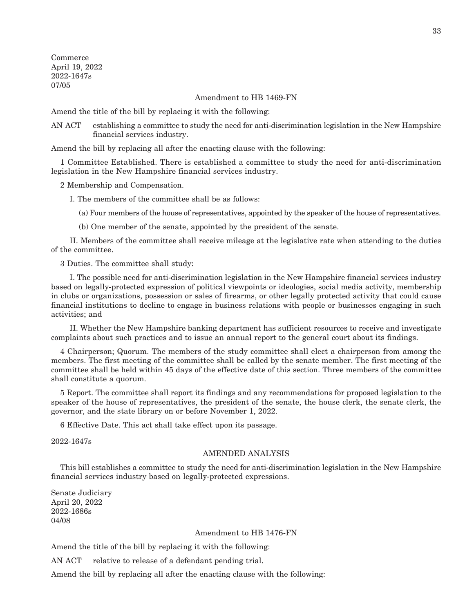Commerce April 19, 2022 2022-1647s 07/05

Amendment to HB 1469-FN

Amend the title of the bill by replacing it with the following:

AN ACT establishing a committee to study the need for anti-discrimination legislation in the New Hampshire financial services industry.

Amend the bill by replacing all after the enacting clause with the following:

1 Committee Established. There is established a committee to study the need for anti-discrimination legislation in the New Hampshire financial services industry.

2 Membership and Compensation.

I. The members of the committee shall be as follows:

(a) Four members of the house of representatives, appointed by the speaker of the house of representatives.

(b) One member of the senate, appointed by the president of the senate.

 II. Members of the committee shall receive mileage at the legislative rate when attending to the duties of the committee.

3 Duties. The committee shall study:

 I. The possible need for anti-discrimination legislation in the New Hampshire financial services industry based on legally-protected expression of political viewpoints or ideologies, social media activity, membership in clubs or organizations, possession or sales of firearms, or other legally protected activity that could cause financial institutions to decline to engage in business relations with people or businesses engaging in such activities; and

 II. Whether the New Hampshire banking department has sufficient resources to receive and investigate complaints about such practices and to issue an annual report to the general court about its findings.

4 Chairperson; Quorum. The members of the study committee shall elect a chairperson from among the members. The first meeting of the committee shall be called by the senate member. The first meeting of the committee shall be held within 45 days of the effective date of this section. Three members of the committee shall constitute a quorum.

5 Report. The committee shall report its findings and any recommendations for proposed legislation to the speaker of the house of representatives, the president of the senate, the house clerk, the senate clerk, the governor, and the state library on or before November 1, 2022.

6 Effective Date. This act shall take effect upon its passage.

2022-1647s

#### AMENDED ANALYSIS

This bill establishes a committee to study the need for anti-discrimination legislation in the New Hampshire financial services industry based on legally-protected expressions.

Senate Judiciary April 20, 2022 2022-1686s 04/08

## Amendment to HB 1476-FN

Amend the title of the bill by replacing it with the following:

AN ACT relative to release of a defendant pending trial.

Amend the bill by replacing all after the enacting clause with the following: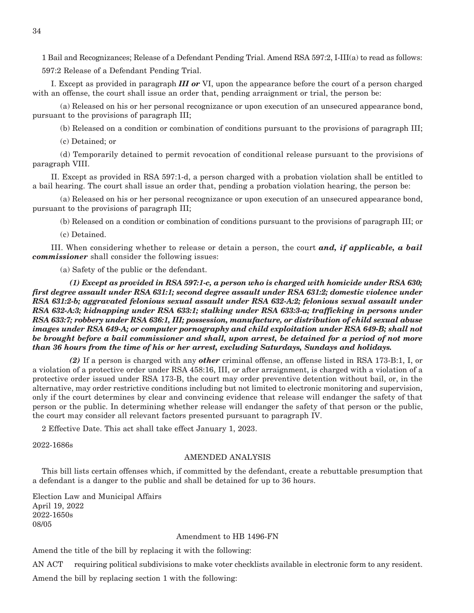1 Bail and Recognizances; Release of a Defendant Pending Trial. Amend RSA 597:2, I-III(a) to read as follows: 597:2 Release of a Defendant Pending Trial.

 I. Except as provided in paragraph *III or* VI, upon the appearance before the court of a person charged with an offense, the court shall issue an order that, pending arraignment or trial, the person be:

 (a) Released on his or her personal recognizance or upon execution of an unsecured appearance bond, pursuant to the provisions of paragraph III;

(b) Released on a condition or combination of conditions pursuant to the provisions of paragraph III;

(c) Detained; or

 (d) Temporarily detained to permit revocation of conditional release pursuant to the provisions of paragraph VIII.

 II. Except as provided in RSA 597:1-d, a person charged with a probation violation shall be entitled to a bail hearing. The court shall issue an order that, pending a probation violation hearing, the person be:

 (a) Released on his or her personal recognizance or upon execution of an unsecured appearance bond, pursuant to the provisions of paragraph III;

(b) Released on a condition or combination of conditions pursuant to the provisions of paragraph III; or

(c) Detained.

 III. When considering whether to release or detain a person, the court *and, if applicable, a bail commissioner* shall consider the following issues:

(a) Safety of the public or the defendant.

 *(1) Except as provided in RSA 597:1-c, a person who is charged with homicide under RSA 630; first degree assault under RSA 631:1; second degree assault under RSA 631:2; domestic violence under RSA 631:2-b; aggravated felonious sexual assault under RSA 632-A:2; felonious sexual assault under RSA 632-A:3; kidnapping under RSA 633:1; stalking under RSA 633:3-a; trafficking in persons under RSA 633:7; robbery under RSA 636:1, III; possession, manufacture, or distribution of child sexual abuse images under RSA 649-A; or computer pornography and child exploitation under RSA 649-B; shall not be brought before a bail commissioner and shall, upon arrest, be detained for a period of not more than 36 hours from the time of his or her arrest, excluding Saturdays, Sundays and holidays.*

 *(2)* If a person is charged with any *other* criminal offense, an offense listed in RSA 173-B:1, I, or a violation of a protective order under RSA 458:16, III, or after arraignment, is charged with a violation of a protective order issued under RSA 173-B, the court may order preventive detention without bail, or, in the alternative, may order restrictive conditions including but not limited to electronic monitoring and supervision, only if the court determines by clear and convincing evidence that release will endanger the safety of that person or the public. In determining whether release will endanger the safety of that person or the public, the court may consider all relevant factors presented pursuant to paragraph IV.

2 Effective Date. This act shall take effect January 1, 2023.

2022-1686s

## AMENDED ANALYSIS

This bill lists certain offenses which, if committed by the defendant, create a rebuttable presumption that a defendant is a danger to the public and shall be detained for up to 36 hours.

Election Law and Municipal Affairs April 19, 2022 2022-1650s 08/05

#### Amendment to HB 1496-FN

Amend the title of the bill by replacing it with the following:

AN ACT requiring political subdivisions to make voter checklists available in electronic form to any resident.

Amend the bill by replacing section 1 with the following: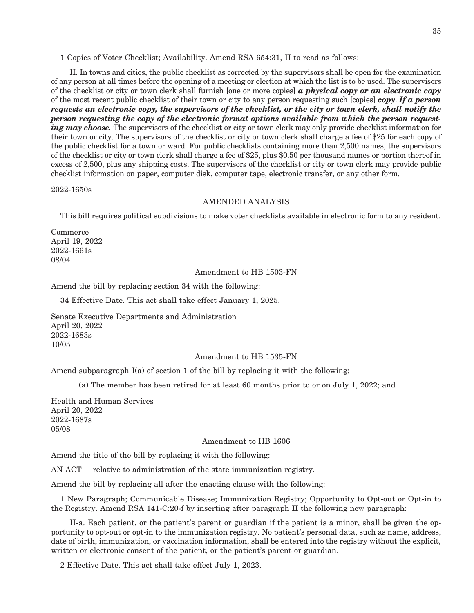1 Copies of Voter Checklist; Availability. Amend RSA 654:31, II to read as follows:

 II. In towns and cities, the public checklist as corrected by the supervisors shall be open for the examination of any person at all times before the opening of a meeting or election at which the list is to be used. The supervisors of the checklist or city or town clerk shall furnish [one or more copies] *a physical copy or an electronic copy* of the most recent public checklist of their town or city to any person requesting such [copies] *copy*. *If a person requests an electronic copy, the supervisors of the checklist, or the city or town clerk, shall notify the person requesting the copy of the electronic format options available from which the person requesting may choose.* The supervisors of the checklist or city or town clerk may only provide checklist information for their town or city. The supervisors of the checklist or city or town clerk shall charge a fee of \$25 for each copy of the public checklist for a town or ward. For public checklists containing more than 2,500 names, the supervisors of the checklist or city or town clerk shall charge a fee of \$25, plus \$0.50 per thousand names or portion thereof in excess of 2,500, plus any shipping costs. The supervisors of the checklist or city or town clerk may provide public checklist information on paper, computer disk, computer tape, electronic transfer, or any other form.

2022-1650s

#### AMENDED ANALYSIS

This bill requires political subdivisions to make voter checklists available in electronic form to any resident.

Commerce April 19, 2022 2022-1661s 08/04

### Amendment to HB 1503-FN

Amend the bill by replacing section 34 with the following:

34 Effective Date. This act shall take effect January 1, 2025.

Senate Executive Departments and Administration April 20, 2022 2022-1683s 10/05

## Amendment to HB 1535-FN

Amend subparagraph I(a) of section 1 of the bill by replacing it with the following:

(a) The member has been retired for at least 60 months prior to or on July 1, 2022; and

Health and Human Services April 20, 2022 2022-1687s 05/08

#### Amendment to HB 1606

Amend the title of the bill by replacing it with the following:

AN ACT relative to administration of the state immunization registry.

Amend the bill by replacing all after the enacting clause with the following:

1 New Paragraph; Communicable Disease; Immunization Registry; Opportunity to Opt-out or Opt-in to the Registry. Amend RSA 141-C:20-f by inserting after paragraph II the following new paragraph:

 II-a. Each patient, or the patient's parent or guardian if the patient is a minor, shall be given the opportunity to opt-out or opt-in to the immunization registry. No patient's personal data, such as name, address, date of birth, immunization, or vaccination information, shall be entered into the registry without the explicit, written or electronic consent of the patient, or the patient's parent or guardian.

2 Effective Date. This act shall take effect July 1, 2023.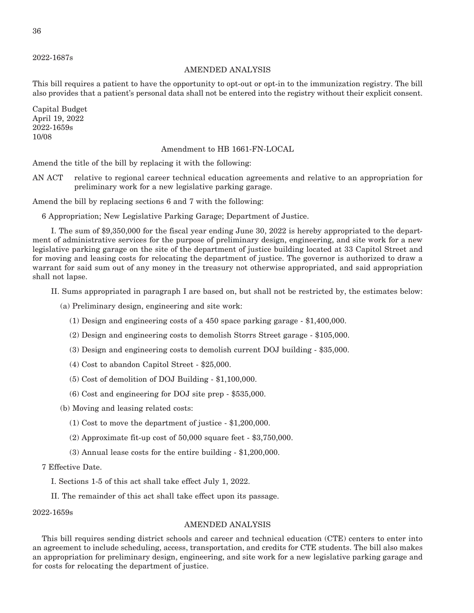2022-1687s

## AMENDED ANALYSIS

This bill requires a patient to have the opportunity to opt-out or opt-in to the immunization registry. The bill also provides that a patient's personal data shall not be entered into the registry without their explicit consent.

Capital Budget April 19, 2022 2022-1659s 10/08

## Amendment to HB 1661-FN-LOCAL

Amend the title of the bill by replacing it with the following:

AN ACT relative to regional career technical education agreements and relative to an appropriation for preliminary work for a new legislative parking garage.

Amend the bill by replacing sections 6 and 7 with the following:

6 Appropriation; New Legislative Parking Garage; Department of Justice.

 I. The sum of \$9,350,000 for the fiscal year ending June 30, 2022 is hereby appropriated to the department of administrative services for the purpose of preliminary design, engineering, and site work for a new legislative parking garage on the site of the department of justice building located at 33 Capitol Street and for moving and leasing costs for relocating the department of justice. The governor is authorized to draw a warrant for said sum out of any money in the treasury not otherwise appropriated, and said appropriation shall not lapse.

II. Sums appropriated in paragraph I are based on, but shall not be restricted by, the estimates below:

(a) Preliminary design, engineering and site work:

- (1) Design and engineering costs of a 450 space parking garage \$1,400,000.
- (2) Design and engineering costs to demolish Storrs Street garage \$105,000.
- (3) Design and engineering costs to demolish current DOJ building \$35,000.
- (4) Cost to abandon Capitol Street \$25,000.
- (5) Cost of demolition of DOJ Building \$1,100,000.
- (6) Cost and engineering for DOJ site prep \$535,000.
- (b) Moving and leasing related costs:
	- (1) Cost to move the department of justice \$1,200,000.
	- (2) Approximate fit-up cost of 50,000 square feet \$3,750,000.
	- (3) Annual lease costs for the entire building \$1,200,000.

## 7 Effective Date.

- I. Sections 1-5 of this act shall take effect July 1, 2022.
- II. The remainder of this act shall take effect upon its passage.

## 2022-1659s

## AMENDED ANALYSIS

This bill requires sending district schools and career and technical education (CTE) centers to enter into an agreement to include scheduling, access, transportation, and credits for CTE students. The bill also makes an appropriation for preliminary design, engineering, and site work for a new legislative parking garage and for costs for relocating the department of justice.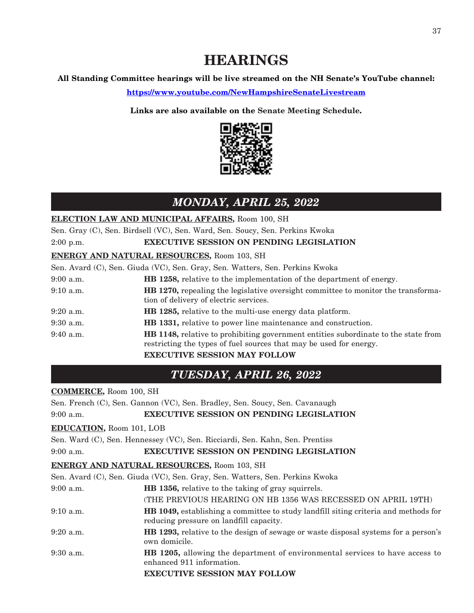## **All Standing Committee hearings will be live streamed on the NH Senate's YouTube channel:**

**<https://www.youtube.com/NewHampshireSenateLivestream>**

**Links are also available on the Senate Meeting Schedule.**



## *MONDAY, APRIL 25, 2022*

**ELECTION LAW AND MUNICIPAL AFFAIRS,** Room 100, SH

Sen. Gray (C), Sen. Birdsell (VC), Sen. Ward, Sen. Soucy, Sen. Perkins Kwoka

2:00 p.m. **EXECUTIVE SESSION ON PENDING LEGISLATION**

## **ENERGY AND NATURAL RESOURCES,** Room 103, SH

Sen. Avard (C), Sen. Giuda (VC), Sen. Gray, Sen. Watters, Sen. Perkins Kwoka

| $9:00$ a.m. | <b>HB</b> 1258, relative to the implementation of the department of energy.                                                                                     |  |
|-------------|-----------------------------------------------------------------------------------------------------------------------------------------------------------------|--|
| $9:10$ a.m. | <b>HB</b> 1270, repealing the legislative oversight committee to monitor the transforma-<br>tion of delivery of electric services.                              |  |
| $9:20$ a.m. | <b>HB</b> 1285, relative to the multi-use energy data platform.                                                                                                 |  |
| $9:30$ a.m. | HB 1331, relative to power line maintenance and construction.                                                                                                   |  |
| $9:40$ a.m. | <b>HB</b> 1148, relative to prohibiting government entities subordinate to the state from<br>restricting the types of fuel sources that may be used for energy. |  |
|             | <b>EXECUTIVE SESSION MAY FOLLOW</b>                                                                                                                             |  |

## *TUESDAY, APRIL 26, 2022*

## **COMMERCE,** Room 100, SH

Sen. French (C), Sen. Gannon (VC), Sen. Bradley, Sen. Soucy, Sen. Cavanaugh 9:00 a.m. **EXECUTIVE SESSION ON PENDING LEGISLATION**

## **EDUCATION,** Room 101, LOB

Sen. Ward (C), Sen. Hennessey (VC), Sen. Ricciardi, Sen. Kahn, Sen. Prentiss

## 9:00 a.m. **EXECUTIVE SESSION ON PENDING LEGISLATION**

## **ENERGY AND NATURAL RESOURCES,** Room 103, SH

|             | Sen. Avard (C), Sen. Giuda (VC), Sen. Gray, Sen. Watters, Sen. Perkins Kwoka                                                          |  |  |
|-------------|---------------------------------------------------------------------------------------------------------------------------------------|--|--|
| $9:00$ a.m. | <b>HB</b> 1356, relative to the taking of gray squirrels.                                                                             |  |  |
|             | (THE PREVIOUS HEARING ON HB 1356 WAS RECESSED ON APRIL 19TH)                                                                          |  |  |
| $9:10$ a.m. | <b>HB</b> 1049, establishing a committee to study landfill siting criteria and methods for<br>reducing pressure on landfill capacity. |  |  |
| $9:20$ a.m. | <b>HB</b> 1293, relative to the design of sewage or waste disposal systems for a person's<br>own domicile.                            |  |  |
| $9:30$ a.m. | <b>HB</b> 1205, allowing the department of environmental services to have access to<br>enhanced 911 information.                      |  |  |
|             | <b>EXECUTIVE SESSION MAY FOLLOW</b>                                                                                                   |  |  |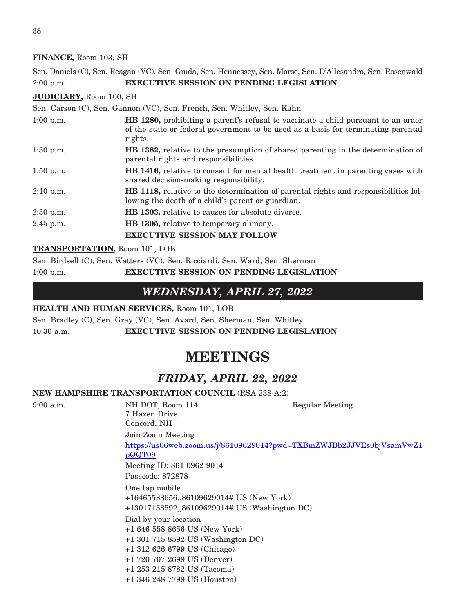## **FINANCE,** Room 103, SH

Sen. Daniels (C), Sen. Reagan (VC), Sen. Giuda, Sen. Hennessey, Sen. Morse, Sen. D'Allesandro, Sen. Rosenwald 2:00 p.m. **EXECUTIVE SESSION ON PENDING LEGISLATION**

## **JUDICIARY,** Room 100, SH

Sen. Carson (C), Sen. Gannon (VC), Sen. French, Sen. Whitley, Sen. Kahn 1:00 p.m. **HB 1280,** prohibiting a parent's refusal to vaccinate a child pursuant to an order of the state or federal government to be used as a basis for terminating parental rights. 1:30 p.m. **HB 1382,** relative to the presumption of shared parenting in the determination of

- parental rights and responsibilities. 1:50 p.m. **HB 1416,** relative to consent for mental health treatment in parenting cases with shared decision-making responsibility.
- 2:10 p.m. **HB 1118,** relative to the determination of parental rights and responsibilities following the death of a child's parent or guardian.
- 2:30 p.m. **HB 1303,** relative to causes for absolute divorce.
- 2:45 p.m. **HB 1305,** relative to temporary alimony.

**EXECUTIVE SESSION MAY FOLLOW**

## **TRANSPORTATION,** Room 101, LOB

Sen. Birdsell (C), Sen. Watters (VC), Sen. Ricciardi, Sen. Ward, Sen. Sherman 1:00 p.m. **EXECUTIVE SESSION ON PENDING LEGISLATION**

## *WEDNESDAY, APRIL 27, 2022*

## **HEALTH AND HUMAN SERVICES,** Room 101, LOB

Sen. Bradley (C), Sen. Gray (VC), Sen. Avard, Sen. Sherman, Sen. Whitley 10:30 a.m. **EXECUTIVE SESSION ON PENDING LEGISLATION**

## **MEETINGS**

## *FRIDAY, APRIL 22, 2022*

## **NEW HAMPSHIRE TRANSPORTATION COUNCIL** (RSA 238-A:2)

9:00 a.m. NH DOT, Room 114 Regular Meeting 7 Hazen Drive Concord, NH Join Zoom Meeting [https://us06web.zoom.us/j/86109629014?pwd=TXBmZWJBb2JJVEs0bjVsamVwZ1](https://us06web.zoom.us/j/86109629014?pwd=TXBmZWJBb2JJVEs0bjVsamVwZ1pQQT09) [pQQT09](https://us06web.zoom.us/j/86109629014?pwd=TXBmZWJBb2JJVEs0bjVsamVwZ1pQQT09) Meeting ID: 861 0962 9014 Passcode: 872878 One tap mobile +16465588656,,86109629014# US (New York) +13017158592,,86109629014# US (Washington DC) Dial by your location +1 646 558 8656 US (New York) +1 301 715 8592 US (Washington DC) +1 312 626 6799 US (Chicago) +1 720 707 2699 US (Denver) +1 253 215 8782 US (Tacoma) +1 346 248 7799 US (Houston)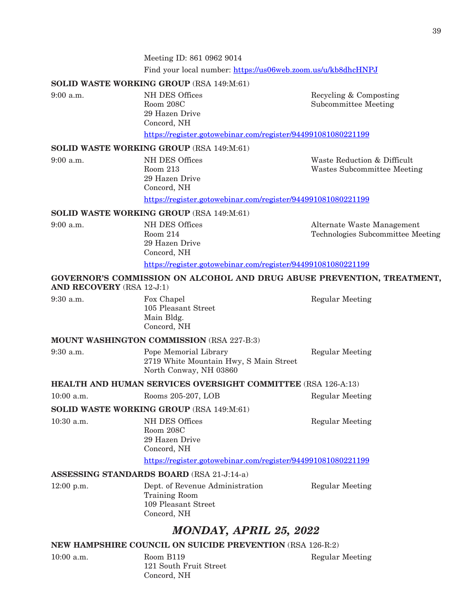Meeting ID: 861 0962 9014 Find your local number: <https://us06web.zoom.us/u/kb8dhcHNPJ>

## **SOLID WASTE WORKING GROUP** (RSA 149:M:61)

| 9:00 a.m. | NH DES Offices |
|-----------|----------------|
|           | Room 208C      |
|           | 29 Hazen Drive |
|           | Concord, NH    |

ES Offices Recycling & Composting 208C Subcommittee Meeting

[https://register.gotowebinar.com/register/944991081080221199](https://us-east-2.protection.sophos.com?d=gotowebinar.com&u=aHR0cHM6Ly9yZWdpc3Rlci5nb3Rvd2ViaW5hci5jb20vcmVnaXN0ZXIvOTQ0OTkxMDgxMDgwMjIxMTk5&i=NWRmN2M1OGRjNDMxOGEwZGMyZjVmYjJj&t=dUR3eUROcC80V2pOekVxSzkzSnhlTnFsNG41dEkwMUZZR2NRMVdKNURiZz0=&h=9f48187d867a4fa5a8350f8460e2e459)

## **SOLID WASTE WORKING GROUP** (RSA 149:M:61)

9:00 a.m. NH DES Offices Waste Reduction & Difficult Room 213 Wastes Subcommittee Meeting 29 Hazen Drive Concord, NH [https://register.gotowebinar.com/register/944991081080221199](https://us-east-2.protection.sophos.com?d=gotowebinar.com&u=aHR0cHM6Ly9yZWdpc3Rlci5nb3Rvd2ViaW5hci5jb20vcmVnaXN0ZXIvOTQ0OTkxMDgxMDgwMjIxMTk5&i=NWRmN2M1OGRjNDMxOGEwZGMyZjVmYjJj&t=dUR3eUROcC80V2pOekVxSzkzSnhlTnFsNG41dEkwMUZZR2NRMVdKNURiZz0=&h=9f48187d867a4fa5a8350f8460e2e459)

## **SOLID WASTE WORKING GROUP** (RSA 149:M:61)

9:00 a.m. **NH DES Offices** Alternate Waste Management Room 214 Technologies Subcommittee Meeting 29 Hazen Drive Concord, NH [https://register.gotowebinar.com/register/944991081080221199](https://us-east-2.protection.sophos.com?d=gotowebinar.com&u=aHR0cHM6Ly9yZWdpc3Rlci5nb3Rvd2ViaW5hci5jb20vcmVnaXN0ZXIvOTQ0OTkxMDgxMDgwMjIxMTk5&i=NWRmN2M1OGRjNDMxOGEwZGMyZjVmYjJj&t=dUR3eUROcC80V2pOekVxSzkzSnhlTnFsNG41dEkwMUZZR2NRMVdKNURiZz0=&h=9f48187d867a4fa5a8350f8460e2e459)

## **GOVERNOR'S COMMISSION ON ALCOHOL AND DRUG ABUSE PREVENTION, TREATMENT, AND RECOVERY** (RSA 12-J:1)

| $9:30$ a.m. |  |
|-------------|--|
|             |  |
|             |  |

Fox Chapel Regular Meeting 105 Pleasant Street Main Bldg. Concord, NH

## **MOUNT WASHINGTON COMMISSION** (RSA 227-B:3)

| 9:30 a.m. | Pope Memorial Library                  | <b>Regular Meeting</b> |
|-----------|----------------------------------------|------------------------|
|           | 2719 White Mountain Hwy, S Main Street |                        |
|           | North Conway, NH 03860                 |                        |

**HEALTH AND HUMAN SERVICES OVERSIGHT COMMITTEE** (RSA 126-A:13)

| Rooms 205-207, LOB<br>$10:00$ a.m. | <b>Regular Meeting</b> |
|------------------------------------|------------------------|
|------------------------------------|------------------------|

## **SOLID WASTE WORKING GROUP** (RSA 149:M:61)

10:30 a.m. NH DES Offices Regular Meeting Room 208C 29 Hazen Drive Concord, NH

[https://register.gotowebinar.com/register/944991081080221199](https://us-east-2.protection.sophos.com?d=gotowebinar.com&u=aHR0cHM6Ly9yZWdpc3Rlci5nb3Rvd2ViaW5hci5jb20vcmVnaXN0ZXIvOTQ0OTkxMDgxMDgwMjIxMTk5&i=NWRmN2M1OGRjNDMxOGEwZGMyZjVmYjJj&t=dUR3eUROcC80V2pOekVxSzkzSnhlTnFsNG41dEkwMUZZR2NRMVdKNURiZz0=&h=9f48187d867a4fa5a8350f8460e2e459)

## **ASSESSING STANDARDS BOARD** (RSA 21-J:14-a)

| $12:00$ p.m. | Dept. of Revenue Administration | Regular Meeting |
|--------------|---------------------------------|-----------------|
|              | Training Room                   |                 |
|              | 109 Pleasant Street             |                 |
|              | Concord, NH                     |                 |

## *MONDAY, APRIL 25, 2022*

## **NEW HAMPSHIRE COUNCIL ON SUICIDE PREVENTION** (RSA 126-R:2)

| $10:00$ a.m. | Room B119              |
|--------------|------------------------|
|              | 121 South Fruit Street |
|              | Concord, NH            |

Regular Meeting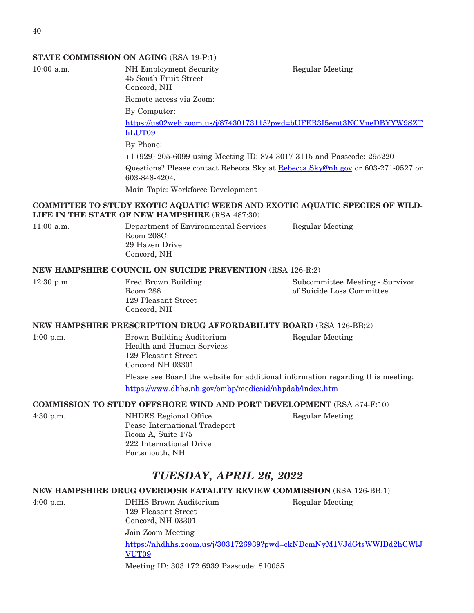## **STATE COMMISSION ON AGING** (RSA 19-P:1)

10:00 a.m. NH Employment Security Regular Meeting 45 South Fruit Street Concord, NH

Remote access via Zoom:

By Computer:

[https://us02web.zoom.us/j/87430173115?pwd=bUFER3I5emt3NGVueDBYYW9SZT](https://us02web.zoom.us/j/87430173115?pwd=bUFER3I5emt3NGVueDBYYW9SZThLUT09) [hLUT09](https://us02web.zoom.us/j/87430173115?pwd=bUFER3I5emt3NGVueDBYYW9SZThLUT09)

By Phone:

Room 208C

Concord, NH

+1 (929) 205-6099 using Meeting ID: 874 3017 3115 and Passcode: 295220

Questions? Please contact Rebecca Sky at [Rebecca.Sky@nh.gov](mailto:Rebecca.Sky@nh.gov) or 603-271-0527 or 603-848-4204.

Main Topic: Workforce Development

## **COMMITTEE TO STUDY EXOTIC AQUATIC WEEDS AND EXOTIC AQUATIC SPECIES OF WILD-LIFE IN THE STATE OF NEW HAMPSHIRE** (RSA 487:30)

11:00 a.m. Department of Environmental Services Regular Meeting 29 Hazen Drive

## **NEW HAMPSHIRE COUNCIL ON SUICIDE PREVENTION** (RSA 126-R:2)

12:30 p.m. Fred Brown Building Subcommittee Meeting - Survivor Room 288 of Suicide Loss Committee 129 Pleasant Street Concord, NH

## **NEW HAMPSHIRE PRESCRIPTION DRUG AFFORDABILITY BOARD** (RSA 126-BB:2)

1:00 p.m. Brown Building Auditorium Regular Meeting Health and Human Services 129 Pleasant Street Concord NH 03301 Please see Board the website for additional information regarding this meeting:

<https://www.dhhs.nh.gov/ombp/medicaid/nhpdab/index.htm>

## **COMMISSION TO STUDY OFFSHORE WIND AND PORT DEVELOPMENT** (RSA 374-F:10)

4:30 p.m. NHDES Regional Office Regular Meeting Pease International Tradeport Room A, Suite 175 222 International Drive Portsmouth, NH

## *TUESDAY, APRIL 26, 2022*

## **NEW HAMPSHIRE DRUG OVERDOSE FATALITY REVIEW COMMISSION** (RSA 126-BB:1)

4:00 p.m. DHHS Brown Auditorium Regular Meeting

129 Pleasant Street Concord, NH 03301 Join Zoom Meeting [https://nhdhhs.zoom.us/j/3031726939?pwd=ckNDcmNyM1VJdGtsWWlDd2hCWlJ](https://nhdhhs.zoom.us/j/3031726939?pwd=ckNDcmNyM1VJdGtsWWlDd2hCWlJVUT09) [VUT09](https://nhdhhs.zoom.us/j/3031726939?pwd=ckNDcmNyM1VJdGtsWWlDd2hCWlJVUT09) Meeting ID: 303 172 6939 Passcode: 810055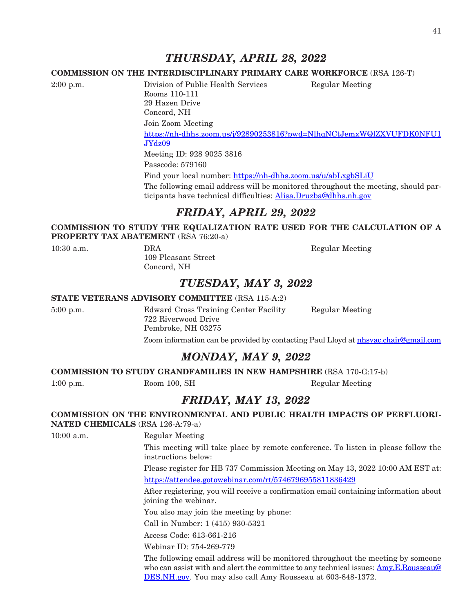## *THURSDAY, APRIL 28, 2022*

## **COMMISSION ON THE INTERDISCIPLINARY PRIMARY CARE WORKFORCE** (RSA 126-T)

2:00 p.m. Division of Public Health Services Regular Meeting Rooms 110-111 29 Hazen Drive Concord, NH Join Zoom Meeting [https://nh-dhhs.zoom.us/j/92890253816?pwd=NlhqNCtJemxWQlZXVUFDK0NFU1](https://nh-dhhs.zoom.us/j/92890253816?pwd=NlhqNCtJemxWQlZXVUFDK0NFU1JYdz09) [JYdz09](https://nh-dhhs.zoom.us/j/92890253816?pwd=NlhqNCtJemxWQlZXVUFDK0NFU1JYdz09) Meeting ID: 928 9025 3816 Passcode: 579160 Find your local number: <https://nh-dhhs.zoom.us/u/abLxgbSLiU> The following email address will be monitored throughout the meeting, should par-ticipants have technical difficulties: [Alisa.Druzba@dhhs.nh.gov](mailto:Alisa.Druzba@dhhs.nh.gov)

## *FRIDAY, APRIL 29, 2022*

## **COMMISSION TO STUDY THE EQUALIZATION RATE USED FOR THE CALCULATION OF A PROPERTY TAX ABATEMENT** (RSA 76:20-a)

109 Pleasant Street Concord, NH

10:30 a.m. **DRA** DRA Regular Meeting

## *TUESDAY, MAY 3, 2022*

## **STATE VETERANS ADVISORY COMMITTEE** (RSA 115-A:2)

5:00 p.m. Edward Cross Training Center Facility Regular Meeting 722 Riverwood Drive Pembroke, NH 03275 Zoom information can be provided by contacting Paul Lloyd at [nhsvac.chair@gmail.com](mailto:nhsvac.chair@gmail.com)

## *MONDAY, MAY 9, 2022*

**COMMISSION TO STUDY GRANDFAMILIES IN NEW HAMPSHIRE** (RSA 170-G:17-b)

1:00 p.m. Room 100, SH Regular Meeting

## *FRIDAY, MAY 13, 2022*

**COMMISSION ON THE ENVIRONMENTAL AND PUBLIC HEALTH IMPACTS OF PERFLUORI-NATED CHEMICALS** (RSA 126-A:79-a)

10:00 a.m. Regular Meeting

This meeting will take place by remote conference. To listen in please follow the instructions below:

Please register for HB 737 Commission Meeting on May 13, 2022 10:00 AM EST at: <https://attendee.gotowebinar.com/rt/5746796955811836429>

After registering, you will receive a confirmation email containing information about joining the webinar.

You also may join the meeting by phone:

Call in Number: 1 (415) 930-5321

Access Code: 613-661-216

Webinar ID: 754-269-779

The following email address will be monitored throughout the meeting by someone who can assist with and alert the committee to any technical issues: [Amy.E.Rousseau@](mailto:Amy.E.Rousseau@DES.NH.gov) [DES.NH.gov](mailto:Amy.E.Rousseau@DES.NH.gov). You may also call Amy Rousseau at 603-848-1372.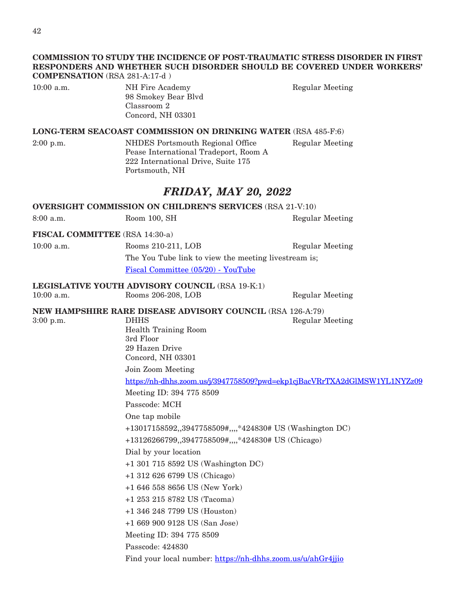## **COMMISSION TO STUDY THE INCIDENCE OF POST-TRAUMATIC STRESS DISORDER IN FIRST RESPONDERS AND WHETHER SUCH DISORDER SHOULD BE COVERED UNDER WORKERS' COMPENSATION** (RSA 281-A:17-d )

| $10:00$ a.m. | NH Fire Academy     | Regular Meeting |
|--------------|---------------------|-----------------|
|              | 98 Smokey Bear Blyd |                 |
|              | Classroom 2         |                 |
|              | Concord, NH 03301   |                 |
|              |                     |                 |

## **LONG-TERM SEACOAST COMMISSION ON DRINKING WATER** (RSA 485-F:6)

2:00 p.m. NHDES Portsmouth Regional Office Regular Meeting Pease International Tradeport, Room A 222 International Drive, Suite 175 Portsmouth, NH

## *FRIDAY, MAY 20, 2022*

**OVERSIGHT COMMISSION ON CHILDREN'S SERVICES** (RSA 21-V:10) 8:00 a.m. Room 100, SH Regular Meeting **FISCAL COMMITTEE** (RSA 14:30-a) 10:00 a.m. Rooms 210-211, LOB Regular Meeting The You Tube link to view the meeting livestream is; [Fiscal Committee \(05/20\) - YouTube](https://www.youtube.com/watch?v=gK2JE4HyCJc) **LEGISLATIVE YOUTH ADVISORY COUNCIL** (RSA 19-K:1) 10:00 a.m. Rooms 206-208, LOB Regular Meeting **NEW HAMPSHIRE RARE DISEASE ADVISORY COUNCIL** (RSA 126-A:79) 3:00 p.m. DHHS Regular Meeting Health Training Room

3rd Floor 29 Hazen Drive Concord, NH 03301

Join Zoom Meeting

<https://nh-dhhs.zoom.us/j/3947758509?pwd=ekp1cjBacVRrTXA2dGlMSW1YL1NYZz09>

Meeting ID: 394 775 8509

Passcode: MCH

One tap mobile

+13017158592,,3947758509#,,,,\*424830# US (Washington DC)

+13126266799,,3947758509#,,,,\*424830# US (Chicago)

Dial by your location

+1 301 715 8592 US (Washington DC)

+1 312 626 6799 US (Chicago)

+1 646 558 8656 US (New York)

+1 253 215 8782 US (Tacoma)

+1 346 248 7799 US (Houston)

+1 669 900 9128 US (San Jose)

Meeting ID: 394 775 8509

Passcode: 424830

Find your local number: <https://nh-dhhs.zoom.us/u/ahGr4jjio>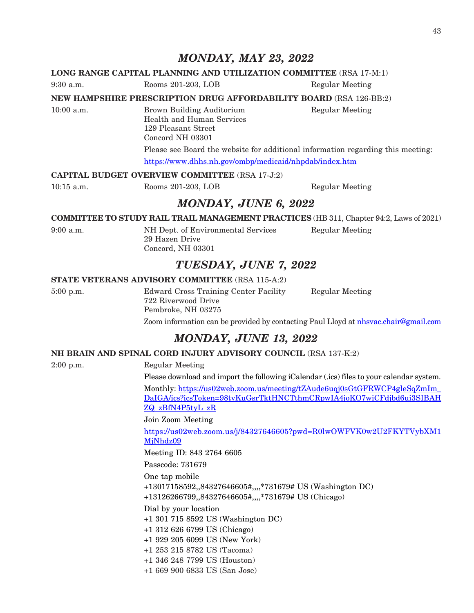## *MONDAY, MAY 23, 2022*

## **LONG RANGE CAPITAL PLANNING AND UTILIZATION COMMITTEE** (RSA 17-M:1)

9:30 a.m. Rooms 201-203, LOB Regular Meeting

**NEW HAMPSHIRE PRESCRIPTION DRUG AFFORDABILITY BOARD** (RSA 126-BB:2)

10:00 a.m. Brown Building Auditorium Regular Meeting Health and Human Services 129 Pleasant Street Concord NH 03301 Please see Board the website for additional information regarding this meeting: <https://www.dhhs.nh.gov/ombp/medicaid/nhpdab/index.htm>

## **CAPITAL BUDGET OVERVIEW COMMITTEE** (RSA 17-J:2)

10:15 a.m. Rooms 201-203, LOB Regular Meeting

## *MONDAY, JUNE 6, 2022*

**COMMITTEE TO STUDY RAIL TRAIL MANAGEMENT PRACTICES** (HB 311, Chapter 94:2, Laws of 2021)

9:00 a.m. NH Dept. of Environmental Services Regular Meeting 29 Hazen Drive Concord, NH 03301

## *TUESDAY, JUNE 7, 2022*

## **STATE VETERANS ADVISORY COMMITTEE** (RSA 115-A:2)

5:00 p.m. Edward Cross Training Center Facility Regular Meeting 722 Riverwood Drive Pembroke, NH 03275 Zoom information can be provided by contacting Paul Lloyd at [nhsvac.chair@gmail.com](mailto:nhsvac.chair@gmail.com)

## *MONDAY, JUNE 13, 2022*

## **NH BRAIN AND SPINAL CORD INJURY ADVISORY COUNCIL** (RSA 137-K:2)

2:00 p.m. Regular Meeting

Please download and import the following iCalendar (.ics) files to your calendar system. Monthly: [https://us02web.zoom.us/meeting/tZAude6uqj0sGtGFRWCP4gleSqZmIm\\_](https://us02web.zoom.us/meeting/tZAude6uqj0sGtGFRWCP4gleSqZmIm_DaIGA/ics?icsToken=98tyKuGsrTktHNCTthmCRpwIA4joKO7wiCFdjbd6ui3SIBAHZQ_zBfN4P5tyL_zR) [DaIGA/ics?icsToken=98tyKuGsrTktHNCTthmCRpwIA4joKO7wiCFdjbd6ui3SIBAH](https://us02web.zoom.us/meeting/tZAude6uqj0sGtGFRWCP4gleSqZmIm_DaIGA/ics?icsToken=98tyKuGsrTktHNCTthmCRpwIA4joKO7wiCFdjbd6ui3SIBAHZQ_zBfN4P5tyL_zR) [ZQ\\_zBfN4P5tyL\\_zR](https://us02web.zoom.us/meeting/tZAude6uqj0sGtGFRWCP4gleSqZmIm_DaIGA/ics?icsToken=98tyKuGsrTktHNCTthmCRpwIA4joKO7wiCFdjbd6ui3SIBAHZQ_zBfN4P5tyL_zR)

Join Zoom Meeting

[https://us02web.zoom.us/j/84327646605?pwd=R0lwOWFVK0w2U2FKYTVybXM1](https://us02web.zoom.us/j/84327646605?pwd=R0lwOWFVK0w2U2FKYTVybXM1MjNhdz09) [MjNhdz09](https://us02web.zoom.us/j/84327646605?pwd=R0lwOWFVK0w2U2FKYTVybXM1MjNhdz09)

Meeting ID: 843 2764 6605

Passcode: 731679

One tap mobile

+13017158592,,84327646605#,,,,\*731679# US (Washington DC)

+13126266799,,84327646605#,,,,\*731679# US (Chicago)

Dial by your location

+1 301 715 8592 US (Washington DC)

+1 312 626 6799 US (Chicago)

+1 929 205 6099 US (New York)

+1 253 215 8782 US (Tacoma)

+1 346 248 7799 US (Houston)

+1 669 900 6833 US (San Jose)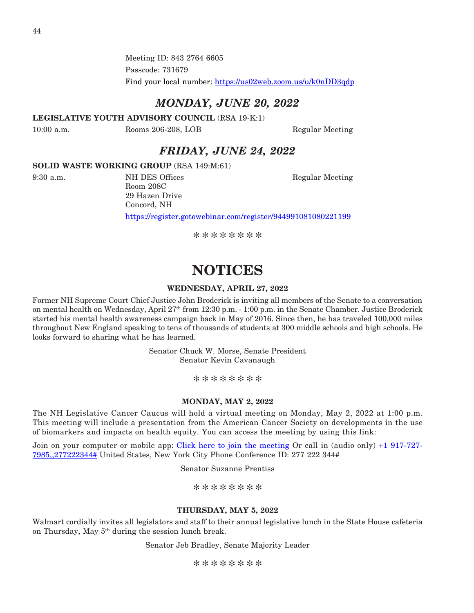Meeting ID: 843 2764 6605 Passcode: 731679 Find your local number: <https://us02web.zoom.us/u/k0nDD3qdp>

## *MONDAY, JUNE 20, 2022*

**LEGISLATIVE YOUTH ADVISORY COUNCIL** (RSA 19-K:1)

10:00 a.m. Rooms 206-208, LOB Regular Meeting

## *FRIDAY, JUNE 24, 2022*

## **SOLID WASTE WORKING GROUP** (RSA 149:M:61)

9:30 a.m. NH DES Offices Regular Meeting Room 208C 29 Hazen Drive Concord, NH https://register.gotowebinar.com/register/944991081080221199

\*\*\*\*\*\*\*\*

## **NOTICES**

## **WEDNESDAY, APRIL 27, 2022**

Former NH Supreme Court Chief Justice John Broderick is inviting all members of the Senate to a conversation on mental health on Wednesday, April 27th from 12:30 p.m. - 1:00 p.m. in the Senate Chamber. Justice Broderick started his mental health awareness campaign back in May of 2016. Since then, he has traveled 100,000 miles throughout New England speaking to tens of thousands of students at 300 middle schools and high schools. He looks forward to sharing what he has learned.

> Senator Chuck W. Morse, Senate President Senator Kevin Cavanaugh

> > \*\*\*\*\*\*\*\*

## **MONDAY, MAY 2, 2022**

The NH Legislative Cancer Caucus will hold a virtual meeting on Monday, May 2, 2022 at 1:00 p.m. This meeting will include a presentation from the American Cancer Society on developments in the use of biomarkers and impacts on health equity. You can access the meeting by using this link:

Join on your computer or mobile app: [Click here to join the meeting](https://us-east-2.protection.sophos.com?d=microsoft.com&u=aHR0cHM6Ly90ZWFtcy5taWNyb3NvZnQuY29tL2wvbWVldHVwLWpvaW4vMTklM2FtZWV0aW5nX01HSmxNMlkzWlRRdE5tTmpNeTAwTUdZd0xXRTBOek10TjJWalpHRTBNRE0xWldSayU0MHRocmVhZC52Mi8wP2NvbnRleHQ9JTdiJTIyVGlkJTIyJTNhJTIyYWZiYjc2OGMtZDY4Mi00MmFkLThmN2UtNzIwMmQwNmMwYjYxJTIyJTJjJTIyT2lkJTIyJTNhJTIyODUxOWY0ZjAtNDcxNi00NzdkLTg1OTItMjNlYWJhZTRhYzQzJTIyJTdk&i=NWZlMzlkYjk1MDY3MGEwZWNiMTY0MTE2&t=Ym5pd0Y4Z2pJWGQrM3ZhR1o4OXgwaFA2MkFkWFdhLzc0MWtiWVB4c0Y0az0=&h=7a2a10c490ef46008947ea692e6bded4) Or call in (audio only)  $\pm 1$  917-727-[7985,,277222344#](tel:+19177277985,,277222344) United States, New York City Phone Conference ID: 277 222 344#

Senator Suzanne Prentiss

\*\*\*\*\*\*\*\*

## **THURSDAY, MAY 5, 2022**

Walmart cordially invites all legislators and staff to their annual legislative lunch in the State House cafeteria on Thursday, May  $5<sup>th</sup>$  during the session lunch break.

Senator Jeb Bradley, Senate Majority Leader

\*\*\*\*\*\*\*\*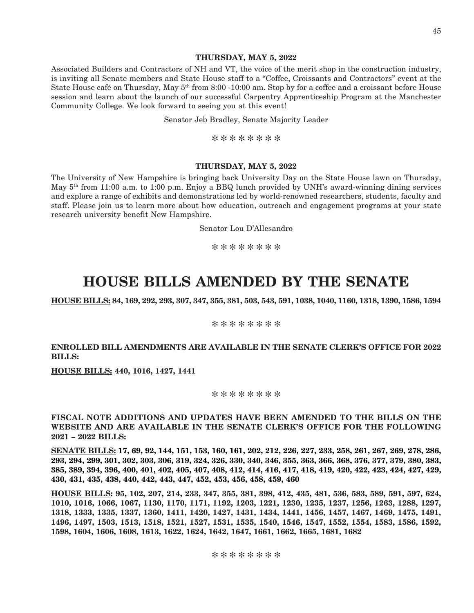## **THURSDAY, MAY 5, 2022**

Associated Builders and Contractors of NH and VT, the voice of the merit shop in the construction industry, is inviting all Senate members and State House staff to a "Coffee, Croissants and Contractors" event at the State House café on Thursday, May 5<sup>th</sup> from 8:00 -10:00 am. Stop by for a coffee and a croissant before House session and learn about the launch of our successful Carpentry Apprenticeship Program at the Manchester Community College. We look forward to seeing you at this event!

Senator Jeb Bradley, Senate Majority Leader

\*\*\*\*\*\*\*\*

## **THURSDAY, MAY 5, 2022**

The University of New Hampshire is bringing back University Day on the State House lawn on Thursday, May 5th from 11:00 a.m. to 1:00 p.m. Enjoy a BBQ lunch provided by UNH's award-winning dining services and explore a range of exhibits and demonstrations led by world-renowned researchers, students, faculty and staff. Please join us to learn more about how education, outreach and engagement programs at your state research university benefit New Hampshire.

Senator Lou D'Allesandro

\*\*\*\*\*\*\*\*

## **HOUSE BILLS AMENDED BY THE SENATE**

**HOUSE BILLS: 84, 169, 292, 293, 307, 347, 355, 381, 503, 543, 591, 1038, 1040, 1160, 1318, 1390, 1586, 1594**

\*\*\*\*\*\*\*\*

## **ENROLLED BILL AMENDMENTS ARE AVAILABLE IN THE SENATE CLERK'S OFFICE FOR 2022 BILLS:**

**HOUSE BILLS: 440, 1016, 1427, 1441**

#### \*\*\*\*\*\*\*\*

**FISCAL NOTE ADDITIONS AND UPDATES HAVE BEEN AMENDED TO THE BILLS ON THE WEBSITE AND ARE AVAILABLE IN THE SENATE CLERK'S OFFICE FOR THE FOLLOWING 2021 – 2022 BILLS:**

**SENATE BILLS: 17, 69, 92, 144, 151, 153, 160, 161, 202, 212, 226, 227, 233, 258, 261, 267, 269, 278, 286, 293, 294, 299, 301, 302, 303, 306, 319, 324, 326, 330, 340, 346, 355, 363, 366, 368, 376, 377, 379, 380, 383, 385, 389, 394, 396, 400, 401, 402, 405, 407, 408, 412, 414, 416, 417, 418, 419, 420, 422, 423, 424, 427, 429, 430, 431, 435, 438, 440, 442, 443, 447, 452, 453, 456, 458, 459, 460**

**HOUSE BILLS: 95, 102, 207, 214, 233, 347, 355, 381, 398, 412, 435, 481, 536, 583, 589, 591, 597, 624, 1010, 1016, 1066, 1067, 1130, 1170, 1171, 1192, 1203, 1221, 1230, 1235, 1237, 1256, 1263, 1288, 1297, 1318, 1333, 1335, 1337, 1360, 1411, 1420, 1427, 1431, 1434, 1441, 1456, 1457, 1467, 1469, 1475, 1491, 1496, 1497, 1503, 1513, 1518, 1521, 1527, 1531, 1535, 1540, 1546, 1547, 1552, 1554, 1583, 1586, 1592, 1598, 1604, 1606, 1608, 1613, 1622, 1624, 1642, 1647, 1661, 1662, 1665, 1681, 1682**